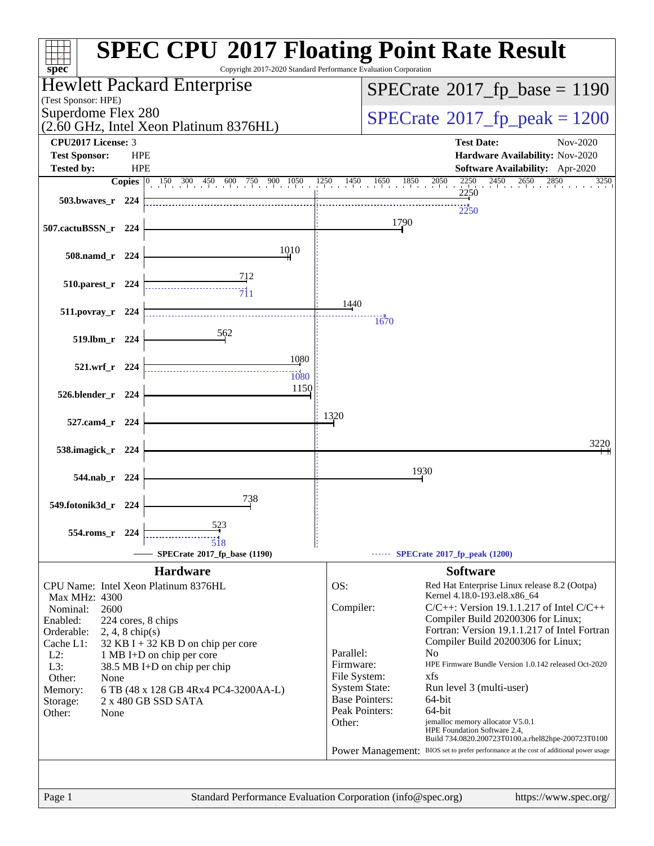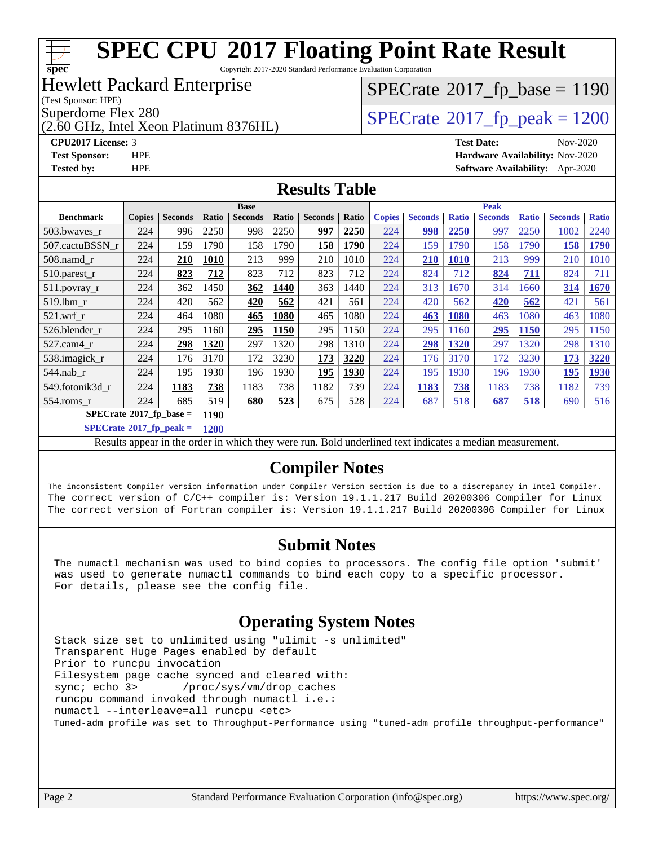#### **[SPEC CPU](http://www.spec.org/auto/cpu2017/Docs/result-fields.html#SPECCPU2017FloatingPointRateResult)[2017 Floating Point Rate Result](http://www.spec.org/auto/cpu2017/Docs/result-fields.html#SPECCPU2017FloatingPointRateResult)** Copyright 2017-2020 Standard Performance Evaluation Corporation Hewlett Packard Enterprise  $SPECTate@2017_fp\_base = 1190$

(Test Sponsor: HPE)

**[spec](http://www.spec.org/)**

(2.60 GHz, Intel Xeon Platinum 8376HL)

Superdome Flex 280<br>(2.60 GHz, Intel Xeon Platinum 8376HI)  $SPECrate@2017_fp\_peak = 1200$  $SPECrate@2017_fp\_peak = 1200$ 

**[CPU2017 License:](http://www.spec.org/auto/cpu2017/Docs/result-fields.html#CPU2017License)** 3 **[Test Date:](http://www.spec.org/auto/cpu2017/Docs/result-fields.html#TestDate)** Nov-2020 **[Test Sponsor:](http://www.spec.org/auto/cpu2017/Docs/result-fields.html#TestSponsor)** HPE **[Hardware Availability:](http://www.spec.org/auto/cpu2017/Docs/result-fields.html#HardwareAvailability)** Nov-2020 **[Tested by:](http://www.spec.org/auto/cpu2017/Docs/result-fields.html#Testedby)** HPE **[Software Availability:](http://www.spec.org/auto/cpu2017/Docs/result-fields.html#SoftwareAvailability)** Apr-2020

### **[Results Table](http://www.spec.org/auto/cpu2017/Docs/result-fields.html#ResultsTable)**

|                  |                                            |                |       | <b>Base</b>    |       |                | <b>Peak</b> |               |                |              |                |              |                |              |  |
|------------------|--------------------------------------------|----------------|-------|----------------|-------|----------------|-------------|---------------|----------------|--------------|----------------|--------------|----------------|--------------|--|
| <b>Benchmark</b> | <b>Copies</b>                              | <b>Seconds</b> | Ratio | <b>Seconds</b> | Ratio | <b>Seconds</b> | Ratio       | <b>Copies</b> | <b>Seconds</b> | <b>Ratio</b> | <b>Seconds</b> | <b>Ratio</b> | <b>Seconds</b> | <b>Ratio</b> |  |
| 503.bwayes_r     | 224                                        | 996            | 2250  | 998            | 2250  | 997            | 2250        | 224           | 998            | 2250         | 997            | 2250         | 1002           | 2240         |  |
| 507.cactuBSSN r  | 224                                        | 159            | 1790  | 158            | 1790  | 158            | 1790        | 224           | 159            | 1790         | 158            | 1790         | 158            | 1790         |  |
| $508$ .namd $r$  | 224                                        | 210            | 1010  | 213            | 999   | 210            | 1010        | 224           | 210            | <b>1010</b>  | 213            | 999          | 210            | 1010         |  |
| 510.parest_r     | 224                                        | 823            | 712   | 823            | 712   | 823            | 712         | 224           | 824            | 712          | 824            | 711          | 824            | 711          |  |
| 511.povray_r     | 224                                        | 362            | 1450  | 362            | 1440  | 363            | 1440        | 224           | 313            | 1670         | 314            | 1660         | 314            | 1670         |  |
| 519.1bm r        | 224                                        | 420            | 562   | 420            | 562   | 421            | 561         | 224           | 420            | 562          | 420            | 562          | 421            | 561          |  |
| $521$ .wrf r     | 224                                        | 464            | 1080  | 465            | 1080  | 465            | 1080        | 224           | 463            | 1080         | 463            | 1080         | 463            | 1080         |  |
| 526.blender r    | 224                                        | 295            | 1160  | 295            | 1150  | 295            | 1150        | 224           | 295            | 1160         | 295            | 1150         | 295            | 1150         |  |
| 527.cam4 r       | 224                                        | 298            | 1320  | 297            | 1320  | 298            | 1310        | 224           | 298            | 1320         | 297            | 1320         | 298            | 1310         |  |
| 538.imagick_r    | 224                                        | 176            | 3170  | 172            | 3230  | 173            | 3220        | 224           | 176            | 3170         | 172            | 3230         | 173            | 3220         |  |
| $544$ .nab r     | 224                                        | 195            | 1930  | 196            | 1930  | 195            | 1930        | 224           | 195            | 1930         | 196            | 1930         | 195            | 1930         |  |
| 549.fotonik3d r  | 224                                        | 1183           | 738   | 1183           | 738   | 1182           | 739         | 224           | 1183           | 738          | 1183           | 738          | 1182           | 739          |  |
| $554$ .roms r    | 224                                        | 685            | 519   | 680            | 523   | 675            | 528         | 224           | 687            | 518          | 687            | 518          | 690            | 516          |  |
|                  | $SPECrate^{\otimes}2017$ fp base =<br>1190 |                |       |                |       |                |             |               |                |              |                |              |                |              |  |

**[SPECrate](http://www.spec.org/auto/cpu2017/Docs/result-fields.html#SPECrate2017fppeak)[2017\\_fp\\_peak =](http://www.spec.org/auto/cpu2017/Docs/result-fields.html#SPECrate2017fppeak) 1200**

Results appear in the [order in which they were run](http://www.spec.org/auto/cpu2017/Docs/result-fields.html#RunOrder). Bold underlined text [indicates a median measurement](http://www.spec.org/auto/cpu2017/Docs/result-fields.html#Median).

## **[Compiler Notes](http://www.spec.org/auto/cpu2017/Docs/result-fields.html#CompilerNotes)**

The inconsistent Compiler version information under Compiler Version section is due to a discrepancy in Intel Compiler. The correct version of C/C++ compiler is: Version 19.1.1.217 Build 20200306 Compiler for Linux The correct version of Fortran compiler is: Version 19.1.1.217 Build 20200306 Compiler for Linux

## **[Submit Notes](http://www.spec.org/auto/cpu2017/Docs/result-fields.html#SubmitNotes)**

 The numactl mechanism was used to bind copies to processors. The config file option 'submit' was used to generate numactl commands to bind each copy to a specific processor. For details, please see the config file.

# **[Operating System Notes](http://www.spec.org/auto/cpu2017/Docs/result-fields.html#OperatingSystemNotes)**

 Stack size set to unlimited using "ulimit -s unlimited" Transparent Huge Pages enabled by default Prior to runcpu invocation Filesystem page cache synced and cleared with: sync; echo 3> /proc/sys/vm/drop\_caches runcpu command invoked through numactl i.e.: numactl --interleave=all runcpu <etc> Tuned-adm profile was set to Throughput-Performance using "tuned-adm profile throughput-performance"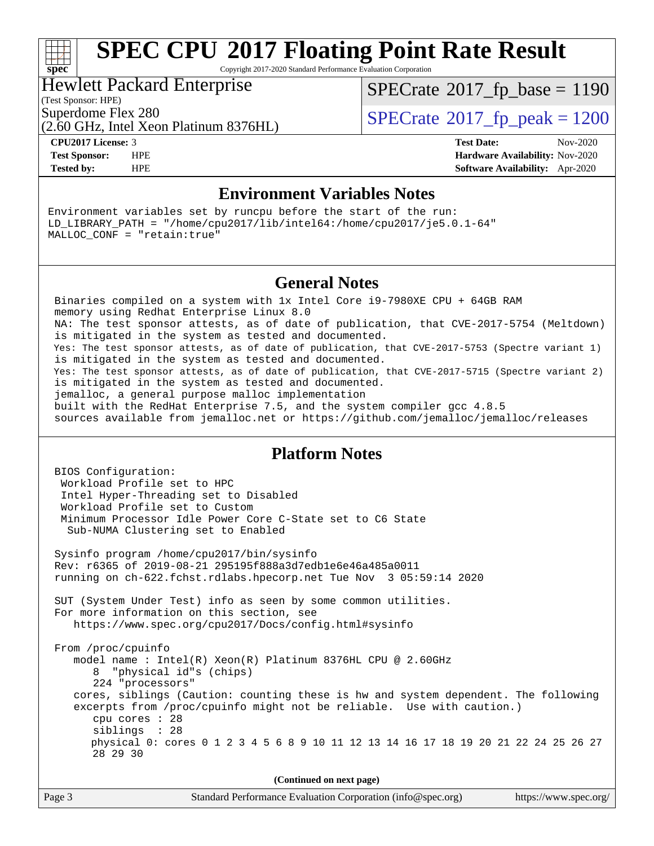# **[spec](http://www.spec.org/)**

# **[SPEC CPU](http://www.spec.org/auto/cpu2017/Docs/result-fields.html#SPECCPU2017FloatingPointRateResult)[2017 Floating Point Rate Result](http://www.spec.org/auto/cpu2017/Docs/result-fields.html#SPECCPU2017FloatingPointRateResult)**

Copyright 2017-2020 Standard Performance Evaluation Corporation

# Hewlett Packard Enterprise

[SPECrate](http://www.spec.org/auto/cpu2017/Docs/result-fields.html#SPECrate2017fpbase)<sup>®</sup>2017 fp base = 1190

(Test Sponsor: HPE)

(2.60 GHz, Intel Xeon Platinum 8376HL)

Superdome Flex 280<br>  $S$ PECrate<sup>®</sup>2017 fp\_peak = 1200

**[CPU2017 License:](http://www.spec.org/auto/cpu2017/Docs/result-fields.html#CPU2017License)** 3 **[Test Date:](http://www.spec.org/auto/cpu2017/Docs/result-fields.html#TestDate)** Nov-2020 **[Test Sponsor:](http://www.spec.org/auto/cpu2017/Docs/result-fields.html#TestSponsor)** HPE **[Hardware Availability:](http://www.spec.org/auto/cpu2017/Docs/result-fields.html#HardwareAvailability)** Nov-2020 **[Tested by:](http://www.spec.org/auto/cpu2017/Docs/result-fields.html#Testedby)** HPE **[Software Availability:](http://www.spec.org/auto/cpu2017/Docs/result-fields.html#SoftwareAvailability)** Apr-2020

## **[Environment Variables Notes](http://www.spec.org/auto/cpu2017/Docs/result-fields.html#EnvironmentVariablesNotes)**

Environment variables set by runcpu before the start of the run: LD\_LIBRARY\_PATH = "/home/cpu2017/lib/intel64:/home/cpu2017/je5.0.1-64" MALLOC\_CONF = "retain:true"

## **[General Notes](http://www.spec.org/auto/cpu2017/Docs/result-fields.html#GeneralNotes)**

 Binaries compiled on a system with 1x Intel Core i9-7980XE CPU + 64GB RAM memory using Redhat Enterprise Linux 8.0 NA: The test sponsor attests, as of date of publication, that CVE-2017-5754 (Meltdown) is mitigated in the system as tested and documented. Yes: The test sponsor attests, as of date of publication, that CVE-2017-5753 (Spectre variant 1) is mitigated in the system as tested and documented. Yes: The test sponsor attests, as of date of publication, that CVE-2017-5715 (Spectre variant 2) is mitigated in the system as tested and documented. jemalloc, a general purpose malloc implementation built with the RedHat Enterprise 7.5, and the system compiler gcc 4.8.5 sources available from jemalloc.net or<https://github.com/jemalloc/jemalloc/releases>

# **[Platform Notes](http://www.spec.org/auto/cpu2017/Docs/result-fields.html#PlatformNotes)**

 BIOS Configuration: Workload Profile set to HPC Intel Hyper-Threading set to Disabled Workload Profile set to Custom Minimum Processor Idle Power Core C-State set to C6 State Sub-NUMA Clustering set to Enabled Sysinfo program /home/cpu2017/bin/sysinfo Rev: r6365 of 2019-08-21 295195f888a3d7edb1e6e46a485a0011 running on ch-622.fchst.rdlabs.hpecorp.net Tue Nov 3 05:59:14 2020 SUT (System Under Test) info as seen by some common utilities. For more information on this section, see <https://www.spec.org/cpu2017/Docs/config.html#sysinfo> From /proc/cpuinfo model name : Intel(R) Xeon(R) Platinum 8376HL CPU @ 2.60GHz 8 "physical id"s (chips) 224 "processors" cores, siblings (Caution: counting these is hw and system dependent. The following excerpts from /proc/cpuinfo might not be reliable. Use with caution.) cpu cores : 28 siblings : 28 physical 0: cores 0 1 2 3 4 5 6 8 9 10 11 12 13 14 16 17 18 19 20 21 22 24 25 26 27 28 29 30

| Page 3 | Standard Performance Evaluation Corporation (info@spec.org) | https://www.spec.org/ |
|--------|-------------------------------------------------------------|-----------------------|
|        |                                                             |                       |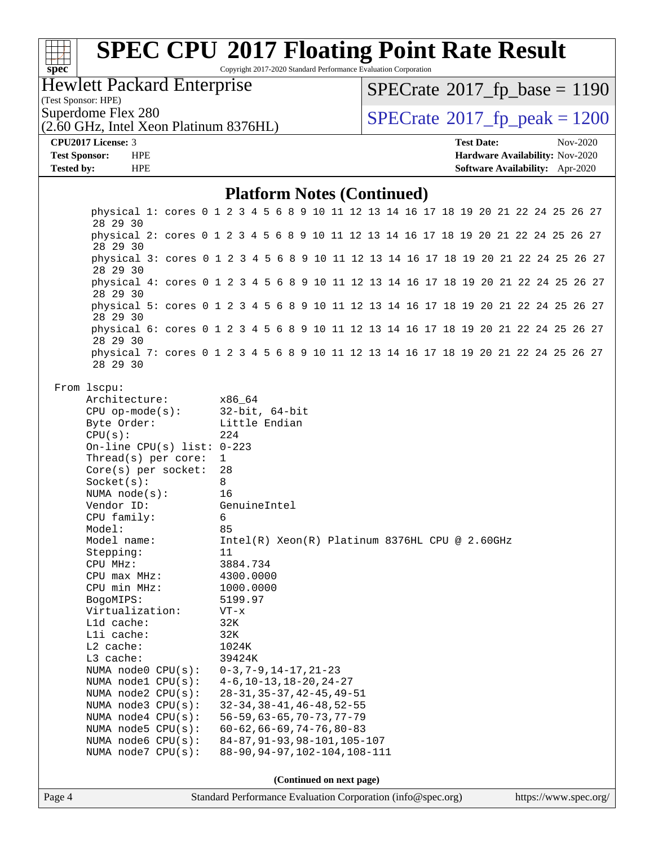| <b>Hewlett Packard Enterprise</b><br>$SPECrate^{\circ}2017$ fp base = 1190<br>(Test Sponsor: HPE)<br>Superdome Flex 280<br>$SPECTate^{\circ}2017$ _fp_peak = 1200<br>(2.60 GHz, Intel Xeon Platinum 8376HL)<br>CPU2017 License: 3<br><b>Test Date:</b><br>Nov-2020<br><b>Test Sponsor:</b><br><b>HPE</b><br>Hardware Availability: Nov-2020<br><b>Tested by:</b><br><b>HPE</b><br>Software Availability: Apr-2020<br><b>Platform Notes (Continued)</b><br>physical 1: cores 0 1 2 3 4 5 6 8 9 10 11 12 13 14 16 17 18 19 20 21 22 24 25 26 27<br>28 29 30<br>physical 2: cores 0 1 2 3 4 5 6 8 9 10 11 12 13 14 16 17 18 19 20 21 22 24 25 26 27<br>28 29 30<br>physical 3: cores 0 1 2 3 4 5 6 8 9 10 11 12 13 14 16 17 18 19 20 21 22 24 25 26 27<br>28 29 30<br>physical 4: cores 0 1 2 3 4 5 6 8 9 10 11 12 13 14 16 17 18 19 20 21 22 24 25 26 27<br>28 29 30<br>physical 5: cores 0 1 2 3 4 5 6 8 9 10 11 12 13 14 16 17 18 19 20 21 22 24 25 26 27<br>28 29 30<br>physical 6: cores 0 1 2 3 4 5 6 8 9 10 11 12 13 14 16 17 18 19 20 21 22 24 25 26 27<br>28 29 30<br>physical 7: cores 0 1 2 3 4 5 6 8 9 10 11 12 13 14 16 17 18 19 20 21 22 24 25 26 27<br>28 29 30<br>From 1scpu:<br>Architecture:<br>x86_64<br>$32$ -bit, $64$ -bit<br>$CPU$ op-mode( $s$ ):<br>Byte Order:<br>Little Endian<br>CPU(s):<br>224<br>On-line CPU(s) list: $0-223$<br>Thread(s) per core:<br>$\mathbf{1}$<br>28<br>$Core(s)$ per socket:<br>8<br>Socket(s):<br>NUMA $node(s)$ :<br>16<br>Vendor ID:<br>GenuineIntel<br>CPU family:<br>6<br>Model:<br>85<br>Model name:<br>Intel(R) Xeon(R) Platinum 8376HL CPU @ 2.60GHz<br>Stepping:<br>11<br>3884.734<br>CPU MHz:<br>CPU max MHz:<br>4300.0000<br>CPU min MHz:<br>1000.0000<br>BogoMIPS:<br>5199.97<br>Virtualization:<br>$VT - x$<br>L1d cache:<br>32K<br>Lli cache:<br>32K<br>L2 cache:<br>1024K<br>L3 cache:<br>39424K<br>NUMA node0 CPU(s):<br>$0-3, 7-9, 14-17, 21-23$<br>NUMA nodel CPU(s):<br>$4-6$ , $10-13$ , $18-20$ , $24-27$<br>$28 - 31, 35 - 37, 42 - 45, 49 - 51$<br>NUMA node2 CPU(s):<br>$32 - 34, 38 - 41, 46 - 48, 52 - 55$<br>NUMA $node3$ CPU $(s)$ :<br>$56 - 59, 63 - 65, 70 - 73, 77 - 79$<br>NUMA node4 CPU(s):<br>NUMA node5 CPU(s):<br>$60 - 62, 66 - 69, 74 - 76, 80 - 83$<br>84-87, 91-93, 98-101, 105-107<br>NUMA node6 CPU(s):<br>88-90, 94-97, 102-104, 108-111<br>NUMA node7 CPU(s): | $spec^*$ |  | <b>SPEC CPU®2017 Floating Point Rate Result</b> |  |  | Copyright 2017-2020 Standard Performance Evaluation Corporation |  |  |  |  |  |  |  |  |
|---------------------------------------------------------------------------------------------------------------------------------------------------------------------------------------------------------------------------------------------------------------------------------------------------------------------------------------------------------------------------------------------------------------------------------------------------------------------------------------------------------------------------------------------------------------------------------------------------------------------------------------------------------------------------------------------------------------------------------------------------------------------------------------------------------------------------------------------------------------------------------------------------------------------------------------------------------------------------------------------------------------------------------------------------------------------------------------------------------------------------------------------------------------------------------------------------------------------------------------------------------------------------------------------------------------------------------------------------------------------------------------------------------------------------------------------------------------------------------------------------------------------------------------------------------------------------------------------------------------------------------------------------------------------------------------------------------------------------------------------------------------------------------------------------------------------------------------------------------------------------------------------------------------------------------------------------------------------------------------------------------------------------------------------------------------------------------------------------------------------------------------------------------------------------------------------------------------------------------------------------------------------------------------------------------------------------------------------------------------|----------|--|-------------------------------------------------|--|--|-----------------------------------------------------------------|--|--|--|--|--|--|--|--|
|                                                                                                                                                                                                                                                                                                                                                                                                                                                                                                                                                                                                                                                                                                                                                                                                                                                                                                                                                                                                                                                                                                                                                                                                                                                                                                                                                                                                                                                                                                                                                                                                                                                                                                                                                                                                                                                                                                                                                                                                                                                                                                                                                                                                                                                                                                                                                               |          |  |                                                 |  |  |                                                                 |  |  |  |  |  |  |  |  |
|                                                                                                                                                                                                                                                                                                                                                                                                                                                                                                                                                                                                                                                                                                                                                                                                                                                                                                                                                                                                                                                                                                                                                                                                                                                                                                                                                                                                                                                                                                                                                                                                                                                                                                                                                                                                                                                                                                                                                                                                                                                                                                                                                                                                                                                                                                                                                               |          |  |                                                 |  |  |                                                                 |  |  |  |  |  |  |  |  |
|                                                                                                                                                                                                                                                                                                                                                                                                                                                                                                                                                                                                                                                                                                                                                                                                                                                                                                                                                                                                                                                                                                                                                                                                                                                                                                                                                                                                                                                                                                                                                                                                                                                                                                                                                                                                                                                                                                                                                                                                                                                                                                                                                                                                                                                                                                                                                               |          |  |                                                 |  |  |                                                                 |  |  |  |  |  |  |  |  |
|                                                                                                                                                                                                                                                                                                                                                                                                                                                                                                                                                                                                                                                                                                                                                                                                                                                                                                                                                                                                                                                                                                                                                                                                                                                                                                                                                                                                                                                                                                                                                                                                                                                                                                                                                                                                                                                                                                                                                                                                                                                                                                                                                                                                                                                                                                                                                               |          |  |                                                 |  |  |                                                                 |  |  |  |  |  |  |  |  |
|                                                                                                                                                                                                                                                                                                                                                                                                                                                                                                                                                                                                                                                                                                                                                                                                                                                                                                                                                                                                                                                                                                                                                                                                                                                                                                                                                                                                                                                                                                                                                                                                                                                                                                                                                                                                                                                                                                                                                                                                                                                                                                                                                                                                                                                                                                                                                               |          |  |                                                 |  |  |                                                                 |  |  |  |  |  |  |  |  |
|                                                                                                                                                                                                                                                                                                                                                                                                                                                                                                                                                                                                                                                                                                                                                                                                                                                                                                                                                                                                                                                                                                                                                                                                                                                                                                                                                                                                                                                                                                                                                                                                                                                                                                                                                                                                                                                                                                                                                                                                                                                                                                                                                                                                                                                                                                                                                               |          |  |                                                 |  |  |                                                                 |  |  |  |  |  |  |  |  |
|                                                                                                                                                                                                                                                                                                                                                                                                                                                                                                                                                                                                                                                                                                                                                                                                                                                                                                                                                                                                                                                                                                                                                                                                                                                                                                                                                                                                                                                                                                                                                                                                                                                                                                                                                                                                                                                                                                                                                                                                                                                                                                                                                                                                                                                                                                                                                               |          |  |                                                 |  |  |                                                                 |  |  |  |  |  |  |  |  |
|                                                                                                                                                                                                                                                                                                                                                                                                                                                                                                                                                                                                                                                                                                                                                                                                                                                                                                                                                                                                                                                                                                                                                                                                                                                                                                                                                                                                                                                                                                                                                                                                                                                                                                                                                                                                                                                                                                                                                                                                                                                                                                                                                                                                                                                                                                                                                               |          |  |                                                 |  |  |                                                                 |  |  |  |  |  |  |  |  |
|                                                                                                                                                                                                                                                                                                                                                                                                                                                                                                                                                                                                                                                                                                                                                                                                                                                                                                                                                                                                                                                                                                                                                                                                                                                                                                                                                                                                                                                                                                                                                                                                                                                                                                                                                                                                                                                                                                                                                                                                                                                                                                                                                                                                                                                                                                                                                               |          |  |                                                 |  |  |                                                                 |  |  |  |  |  |  |  |  |
|                                                                                                                                                                                                                                                                                                                                                                                                                                                                                                                                                                                                                                                                                                                                                                                                                                                                                                                                                                                                                                                                                                                                                                                                                                                                                                                                                                                                                                                                                                                                                                                                                                                                                                                                                                                                                                                                                                                                                                                                                                                                                                                                                                                                                                                                                                                                                               |          |  |                                                 |  |  |                                                                 |  |  |  |  |  |  |  |  |
|                                                                                                                                                                                                                                                                                                                                                                                                                                                                                                                                                                                                                                                                                                                                                                                                                                                                                                                                                                                                                                                                                                                                                                                                                                                                                                                                                                                                                                                                                                                                                                                                                                                                                                                                                                                                                                                                                                                                                                                                                                                                                                                                                                                                                                                                                                                                                               |          |  |                                                 |  |  |                                                                 |  |  |  |  |  |  |  |  |
|                                                                                                                                                                                                                                                                                                                                                                                                                                                                                                                                                                                                                                                                                                                                                                                                                                                                                                                                                                                                                                                                                                                                                                                                                                                                                                                                                                                                                                                                                                                                                                                                                                                                                                                                                                                                                                                                                                                                                                                                                                                                                                                                                                                                                                                                                                                                                               |          |  |                                                 |  |  |                                                                 |  |  |  |  |  |  |  |  |
|                                                                                                                                                                                                                                                                                                                                                                                                                                                                                                                                                                                                                                                                                                                                                                                                                                                                                                                                                                                                                                                                                                                                                                                                                                                                                                                                                                                                                                                                                                                                                                                                                                                                                                                                                                                                                                                                                                                                                                                                                                                                                                                                                                                                                                                                                                                                                               |          |  |                                                 |  |  |                                                                 |  |  |  |  |  |  |  |  |

**(Continued on next page)**

Page 4 Standard Performance Evaluation Corporation [\(info@spec.org\)](mailto:info@spec.org) <https://www.spec.org/>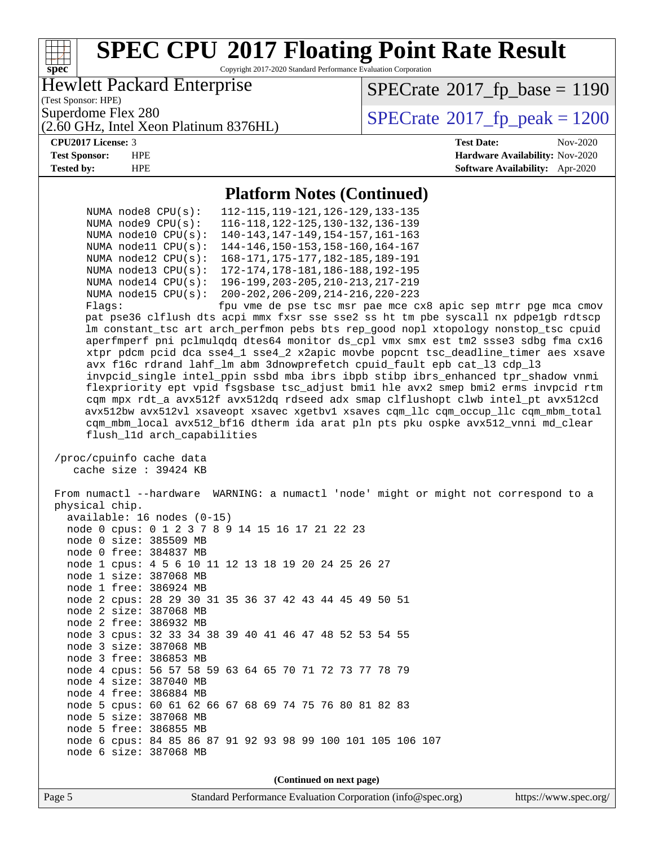

 node 1 cpus: 4 5 6 10 11 12 13 18 19 20 24 25 26 27 node 1 size: 387068 MB node 1 free: 386924 MB node 2 cpus: 28 29 30 31 35 36 37 42 43 44 45 49 50 51 node 2 size: 387068 MB node 2 free: 386932 MB node 3 cpus: 32 33 34 38 39 40 41 46 47 48 52 53 54 55 node 3 size: 387068 MB node 3 free: 386853 MB node 4 cpus: 56 57 58 59 63 64 65 70 71 72 73 77 78 79 node 4 size: 387040 MB node 4 free: 386884 MB node 5 cpus: 60 61 62 66 67 68 69 74 75 76 80 81 82 83 node 5 size: 387068 MB node 5 free: 386855 MB node 6 cpus: 84 85 86 87 91 92 93 98 99 100 101 105 106 107 node 6 size: 387068 MB

**(Continued on next page)**

Page 5 Standard Performance Evaluation Corporation [\(info@spec.org\)](mailto:info@spec.org) <https://www.spec.org/>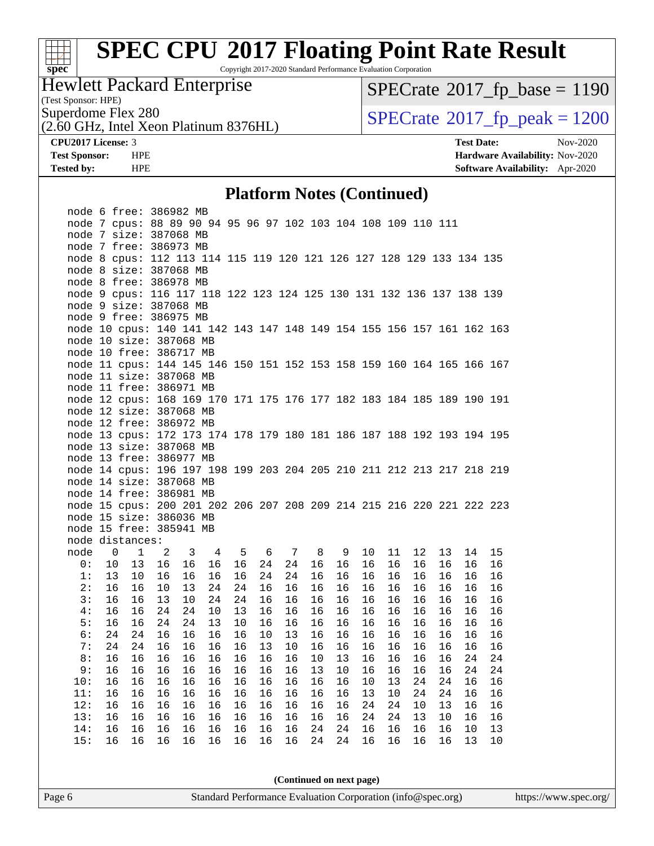

Copyright 2017-2020 Standard Performance Evaluation Corporation

# Hewlett Packard Enterprise

(Test Sponsor: HPE)

 $SPECrate@2017_fp\_base = 1190$  $SPECrate@2017_fp\_base = 1190$ 

(2.60 GHz, Intel Xeon Platinum 8376HL)

Superdome Flex 280<br>  $\overline{O}$  60 GHz, Intel Xeon Platinum 8376HI)<br>  $\overline{O}$  [SPECrate](http://www.spec.org/auto/cpu2017/Docs/result-fields.html#SPECrate2017fppeak)®[2017\\_fp\\_peak = 1](http://www.spec.org/auto/cpu2017/Docs/result-fields.html#SPECrate2017fppeak)200

**[CPU2017 License:](http://www.spec.org/auto/cpu2017/Docs/result-fields.html#CPU2017License)** 3 **[Test Date:](http://www.spec.org/auto/cpu2017/Docs/result-fields.html#TestDate)** Nov-2020 **[Test Sponsor:](http://www.spec.org/auto/cpu2017/Docs/result-fields.html#TestSponsor)** HPE **[Hardware Availability:](http://www.spec.org/auto/cpu2017/Docs/result-fields.html#HardwareAvailability)** Nov-2020 **[Tested by:](http://www.spec.org/auto/cpu2017/Docs/result-fields.html#Testedby)** HPE **[Software Availability:](http://www.spec.org/auto/cpu2017/Docs/result-fields.html#SoftwareAvailability)** Apr-2020

#### **[Platform Notes \(Continued\)](http://www.spec.org/auto/cpu2017/Docs/result-fields.html#PlatformNotes)**

|      |                | node 6 free: 386982 MB                                                |    |              |    |    |     |    |    |    |         |    |    |    |    |    |
|------|----------------|-----------------------------------------------------------------------|----|--------------|----|----|-----|----|----|----|---------|----|----|----|----|----|
|      |                | node 7 cpus: 88 89 90 94 95 96 97 102 103 104 108 109 110 111         |    |              |    |    |     |    |    |    |         |    |    |    |    |    |
|      |                | node 7 size: 387068 MB                                                |    |              |    |    |     |    |    |    |         |    |    |    |    |    |
|      |                | node 7 free: 386973 MB                                                |    |              |    |    |     |    |    |    |         |    |    |    |    |    |
|      |                | node 8 cpus: 112 113 114 115 119 120 121 126 127 128 129 133 134 135  |    |              |    |    |     |    |    |    |         |    |    |    |    |    |
|      |                | node 8 size: 387068 MB                                                |    |              |    |    |     |    |    |    |         |    |    |    |    |    |
|      |                | node 8 free: 386978 MB                                                |    |              |    |    |     |    |    |    |         |    |    |    |    |    |
|      |                | node 9 cpus: 116 117 118 122 123 124 125 130 131 132 136 137 138 139  |    |              |    |    |     |    |    |    |         |    |    |    |    |    |
|      |                | node 9 size: 387068 MB                                                |    |              |    |    |     |    |    |    |         |    |    |    |    |    |
|      |                | node 9 free: 386975 MB                                                |    |              |    |    |     |    |    |    |         |    |    |    |    |    |
|      |                | node 10 cpus: 140 141 142 143 147 148 149 154 155 156 157 161 162 163 |    |              |    |    |     |    |    |    |         |    |    |    |    |    |
|      |                | node 10 size: 387068 MB                                               |    |              |    |    |     |    |    |    |         |    |    |    |    |    |
|      |                | node 10 free: 386717 MB                                               |    |              |    |    |     |    |    |    |         |    |    |    |    |    |
|      |                | node 11 cpus: 144 145 146 150 151 152 153 158 159 160 164 165 166 167 |    |              |    |    |     |    |    |    |         |    |    |    |    |    |
|      |                | node 11 size: 387068 MB                                               |    |              |    |    |     |    |    |    |         |    |    |    |    |    |
|      |                | node 11 free: 386971 MB                                               |    |              |    |    |     |    |    |    |         |    |    |    |    |    |
|      |                | node 12 cpus: 168 169 170 171 175 176 177 182 183 184 185 189 190 191 |    |              |    |    |     |    |    |    |         |    |    |    |    |    |
|      |                | node 12 size: 387068 MB                                               |    |              |    |    |     |    |    |    |         |    |    |    |    |    |
|      |                | node 12 free: 386972 MB                                               |    |              |    |    |     |    |    |    |         |    |    |    |    |    |
|      |                | node 13 cpus: 172 173 174 178 179 180 181 186 187 188 192 193 194 195 |    |              |    |    |     |    |    |    |         |    |    |    |    |    |
|      |                | node 13 size: 387068 MB                                               |    |              |    |    |     |    |    |    |         |    |    |    |    |    |
|      |                | node 13 free: 386977 MB                                               |    |              |    |    |     |    |    |    |         |    |    |    |    |    |
|      |                | node 14 cpus: 196 197 198 199 203 204 205 210 211 212 213 217 218 219 |    |              |    |    |     |    |    |    |         |    |    |    |    |    |
|      |                | node 14 size: 387068 MB                                               |    |              |    |    |     |    |    |    |         |    |    |    |    |    |
|      |                | node 14 free: 386981 MB                                               |    |              |    |    |     |    |    |    |         |    |    |    |    |    |
|      |                | node 15 cpus: 200 201 202 206 207 208 209 214 215 216 220 221 222 223 |    |              |    |    |     |    |    |    |         |    |    |    |    |    |
|      |                | node 15 size: 386036 MB                                               |    |              |    |    |     |    |    |    |         |    |    |    |    |    |
|      |                | node 15 free: 385941 MB                                               |    |              |    |    |     |    |    |    |         |    |    |    |    |    |
|      |                | node distances:                                                       |    |              |    |    |     |    |    |    |         |    |    |    |    |    |
| node | $\overline{0}$ | $\mathbf{1}$                                                          | 2  | $\mathbf{3}$ | 4  | 5  | - 6 | 7  | 8  | 9  | $10 \,$ | 11 | 12 | 13 | 14 | 15 |
| 0:   | 10             | 13                                                                    | 16 | 16           | 16 | 16 | 24  | 24 | 16 | 16 | 16      | 16 | 16 | 16 | 16 | 16 |
| 1:   | 13             | 10                                                                    | 16 | 16           | 16 | 16 | 24  | 24 | 16 | 16 | 16      | 16 | 16 | 16 | 16 | 16 |
| 2:   | 16             | 16                                                                    | 10 | 13           | 24 | 24 | 16  | 16 | 16 | 16 | 16      | 16 | 16 | 16 | 16 | 16 |
| 3:   | 16             | 16                                                                    | 13 | 10           | 24 | 24 | 16  | 16 | 16 | 16 | 16      | 16 | 16 | 16 | 16 | 16 |
| 4 :  | 16             | 16                                                                    | 24 | 24           | 10 | 13 | 16  | 16 | 16 | 16 | 16      | 16 | 16 | 16 | 16 | 16 |
| 5:   | 16             | 16                                                                    | 24 | 24           | 13 | 10 | 16  | 16 | 16 | 16 | 16      | 16 | 16 | 16 | 16 | 16 |
| 6:   | 24             | 24                                                                    | 16 | 16           | 16 | 16 | 10  | 13 | 16 | 16 | 16      | 16 | 16 | 16 | 16 | 16 |
| 7:   | 24             | 24                                                                    | 16 | 16           | 16 | 16 | 13  | 10 | 16 | 16 | 16      | 16 | 16 | 16 | 16 | 16 |
| 8:   | 16             | 16                                                                    | 16 | 16           | 16 | 16 | 16  | 16 | 10 | 13 | 16      | 16 | 16 | 16 | 24 | 24 |
| 9:   | 16             | 16                                                                    | 16 | 16           | 16 | 16 | 16  | 16 | 13 | 10 | 16      | 16 | 16 | 16 | 24 | 24 |
| 10:  | 16             | 16                                                                    | 16 | 16           | 16 | 16 | 16  | 16 | 16 | 16 | 10      | 13 | 24 | 24 | 16 | 16 |
| 11:  | 16             | 16                                                                    | 16 | 16           | 16 | 16 | 16  | 16 | 16 | 16 | 13      | 10 | 24 | 24 | 16 | 16 |
| 12:  | 16             | 16                                                                    | 16 | 16           | 16 | 16 | 16  | 16 | 16 | 16 | 24      | 24 | 10 | 13 | 16 | 16 |
| 13:  | 16             | 16                                                                    | 16 | 16           | 16 | 16 | 16  | 16 | 16 | 16 | 24      | 24 | 13 | 10 | 16 | 16 |
|      | 16             | 16                                                                    | 16 | 16           | 16 | 16 | 16  | 16 | 24 | 24 | 16      | 16 | 16 | 16 | 10 | 13 |
| 14:  |                |                                                                       |    |              |    |    |     |    |    |    |         |    |    |    |    |    |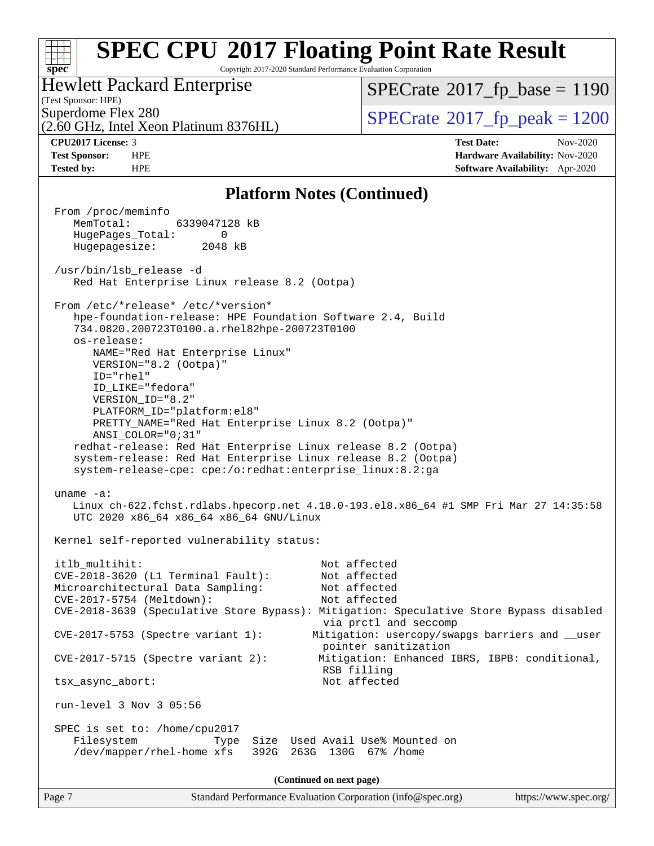#### **[spec](http://www.spec.org/) [SPEC CPU](http://www.spec.org/auto/cpu2017/Docs/result-fields.html#SPECCPU2017FloatingPointRateResult)[2017 Floating Point Rate Result](http://www.spec.org/auto/cpu2017/Docs/result-fields.html#SPECCPU2017FloatingPointRateResult)** Copyright 2017-2020 Standard Performance Evaluation Corporation (Test Sponsor: HPE) Hewlett Packard Enterprise (2.60 GHz, Intel Xeon Platinum 8376HL) Superdome Flex 280<br>  $\overline{O}$  60 GHz, Intel Xeon Platinum 8376HI)<br>  $\overline{O}$  [SPECrate](http://www.spec.org/auto/cpu2017/Docs/result-fields.html#SPECrate2017fppeak)®[2017\\_fp\\_peak = 1](http://www.spec.org/auto/cpu2017/Docs/result-fields.html#SPECrate2017fppeak)200  $SPECrate@2017_fp\_base = 1190$  $SPECrate@2017_fp\_base = 1190$ **[CPU2017 License:](http://www.spec.org/auto/cpu2017/Docs/result-fields.html#CPU2017License)** 3 **[Test Date:](http://www.spec.org/auto/cpu2017/Docs/result-fields.html#TestDate)** Nov-2020 **[Test Sponsor:](http://www.spec.org/auto/cpu2017/Docs/result-fields.html#TestSponsor)** HPE **[Hardware Availability:](http://www.spec.org/auto/cpu2017/Docs/result-fields.html#HardwareAvailability)** Nov-2020 **[Tested by:](http://www.spec.org/auto/cpu2017/Docs/result-fields.html#Testedby)** HPE **[Software Availability:](http://www.spec.org/auto/cpu2017/Docs/result-fields.html#SoftwareAvailability)** Apr-2020

### **[Platform Notes \(Continued\)](http://www.spec.org/auto/cpu2017/Docs/result-fields.html#PlatformNotes)**

| From /proc/meminfo<br>MemTotal:<br>6339047128 kB                                                                                                                                                                                                                                                                                                                                                                                                          |
|-----------------------------------------------------------------------------------------------------------------------------------------------------------------------------------------------------------------------------------------------------------------------------------------------------------------------------------------------------------------------------------------------------------------------------------------------------------|
| HugePages_Total:<br>$\Omega$<br>Hugepagesize: 2048 kB                                                                                                                                                                                                                                                                                                                                                                                                     |
| /usr/bin/lsb_release -d<br>Red Hat Enterprise Linux release 8.2 (Ootpa)                                                                                                                                                                                                                                                                                                                                                                                   |
| From /etc/*release* /etc/*version*<br>hpe-foundation-release: HPE Foundation Software 2.4, Build<br>734.0820.200723T0100.a.rhel82hpe-200723T0100<br>os-release:<br>NAME="Red Hat Enterprise Linux"<br>VERSION="8.2 (Ootpa)"<br>ID="rhel"<br>ID_LIKE="fedora"<br>VERSION_ID="8.2"<br>PLATFORM_ID="platform:el8"<br>PRETTY_NAME="Red Hat Enterprise Linux 8.2 (Ootpa)"<br>ANSI_COLOR="0;31"<br>redhat-release: Red Hat Enterprise Linux release 8.2 (Ootpa) |
| system-release: Red Hat Enterprise Linux release 8.2 (Ootpa)<br>system-release-cpe: cpe:/o:redhat:enterprise_linux:8.2:ga                                                                                                                                                                                                                                                                                                                                 |
| uname $-a$ :<br>Linux ch-622.fchst.rdlabs.hpecorp.net 4.18.0-193.el8.x86_64 #1 SMP Fri Mar 27 14:35:58<br>UTC 2020 x86_64 x86_64 x86_64 GNU/Linux                                                                                                                                                                                                                                                                                                         |
| Kernel self-reported vulnerability status:                                                                                                                                                                                                                                                                                                                                                                                                                |
| itlb_multihit:<br>Not affected<br>CVE-2018-3620 (L1 Terminal Fault):<br>Not affected<br>Microarchitectural Data Sampling:<br>Not affected<br>CVE-2017-5754 (Meltdown):<br>Not affected<br>CVE-2018-3639 (Speculative Store Bypass): Mitigation: Speculative Store Bypass disabled<br>via prctl and seccomp                                                                                                                                                |
| $CVE-2017-5753$ (Spectre variant 1):<br>Mitigation: usercopy/swapgs barriers and __user<br>pointer sanitization<br>CVE-2017-5715 (Spectre variant 2):<br>Mitigation: Enhanced IBRS, IBPB: conditional,                                                                                                                                                                                                                                                    |
| RSB filling<br>Not affected<br>tsx_async_abort:                                                                                                                                                                                                                                                                                                                                                                                                           |
| run-level 3 Nov 3 05:56                                                                                                                                                                                                                                                                                                                                                                                                                                   |
| SPEC is set to: /home/cpu2017<br>Filesystem<br>Size Used Avail Use% Mounted on<br>Type<br>/dev/mapper/rhel-home xfs<br>263G 130G 67% / home<br>392G                                                                                                                                                                                                                                                                                                       |
| (Continued on next page)                                                                                                                                                                                                                                                                                                                                                                                                                                  |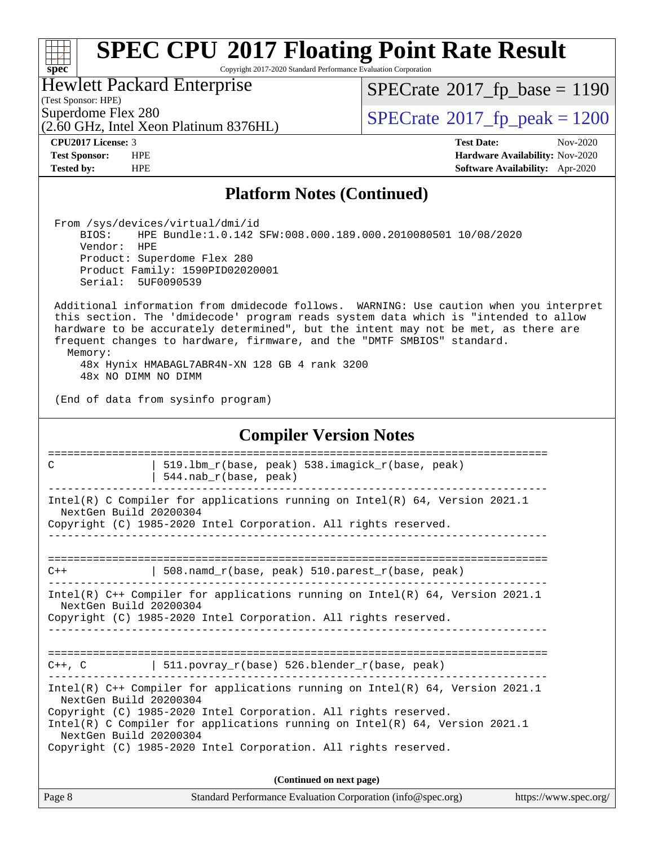## $\pm\pm\tau$ **[spec](http://www.spec.org/)**

# **[SPEC CPU](http://www.spec.org/auto/cpu2017/Docs/result-fields.html#SPECCPU2017FloatingPointRateResult)[2017 Floating Point Rate Result](http://www.spec.org/auto/cpu2017/Docs/result-fields.html#SPECCPU2017FloatingPointRateResult)**

Copyright 2017-2020 Standard Performance Evaluation Corporation

Hewlett Packard Enterprise

 $SPECTate@2017_fp\_base = 1190$ 

(Test Sponsor: HPE)

(2.60 GHz, Intel Xeon Platinum 8376HL) Superdome Flex 280<br>  $(2.60 \text{ GHz})$  [SPECrate](http://www.spec.org/auto/cpu2017/Docs/result-fields.html#SPECrate2017fppeak)<sup>®</sup>[2017\\_fp\\_peak = 1](http://www.spec.org/auto/cpu2017/Docs/result-fields.html#SPECrate2017fppeak)200

**[CPU2017 License:](http://www.spec.org/auto/cpu2017/Docs/result-fields.html#CPU2017License)** 3 **[Test Date:](http://www.spec.org/auto/cpu2017/Docs/result-fields.html#TestDate)** Nov-2020

**[Test Sponsor:](http://www.spec.org/auto/cpu2017/Docs/result-fields.html#TestSponsor)** HPE **[Hardware Availability:](http://www.spec.org/auto/cpu2017/Docs/result-fields.html#HardwareAvailability)** Nov-2020 **[Tested by:](http://www.spec.org/auto/cpu2017/Docs/result-fields.html#Testedby)** HPE **[Software Availability:](http://www.spec.org/auto/cpu2017/Docs/result-fields.html#SoftwareAvailability)** Apr-2020

## **[Platform Notes \(Continued\)](http://www.spec.org/auto/cpu2017/Docs/result-fields.html#PlatformNotes)**

 From /sys/devices/virtual/dmi/id BIOS: HPE Bundle:1.0.142 SFW:008.000.189.000.2010080501 10/08/2020 Vendor: HPE Product: Superdome Flex 280 Product Family: 1590PID02020001 Serial: 5UF0090539

 Additional information from dmidecode follows. WARNING: Use caution when you interpret this section. The 'dmidecode' program reads system data which is "intended to allow hardware to be accurately determined", but the intent may not be met, as there are frequent changes to hardware, firmware, and the "DMTF SMBIOS" standard. Memory:

 48x Hynix HMABAGL7ABR4N-XN 128 GB 4 rank 3200 48x NO DIMM NO DIMM

(End of data from sysinfo program)

| <b>Compiler Version Notes</b>                                                                                                                                                                                                                                                                                                                               |  |  |  |  |  |  |  |  |  |
|-------------------------------------------------------------------------------------------------------------------------------------------------------------------------------------------------------------------------------------------------------------------------------------------------------------------------------------------------------------|--|--|--|--|--|--|--|--|--|
| 519.1bm r(base, peak) 538.imagick r(base, peak)<br>C<br>544.nab_r(base, peak)                                                                                                                                                                                                                                                                               |  |  |  |  |  |  |  |  |  |
| Intel(R) C Compiler for applications running on Intel(R) $64$ , Version 2021.1<br>NextGen Build 20200304<br>Copyright (C) 1985-2020 Intel Corporation. All rights reserved.<br>______________________________________                                                                                                                                       |  |  |  |  |  |  |  |  |  |
| 508. namd $r(base, peak)$ 510. parest $r(base, peak)$<br>$C++$                                                                                                                                                                                                                                                                                              |  |  |  |  |  |  |  |  |  |
| Intel(R) $C++$ Compiler for applications running on Intel(R) 64, Version 2021.1<br>NextGen Build 20200304<br>Copyright (C) 1985-2020 Intel Corporation. All rights reserved.                                                                                                                                                                                |  |  |  |  |  |  |  |  |  |
| --------------------------------<br>$C++$ , C $\qquad \qquad$ 511.povray_r(base) 526.blender_r(base, peak)                                                                                                                                                                                                                                                  |  |  |  |  |  |  |  |  |  |
| Intel(R) $C++$ Compiler for applications running on Intel(R) 64, Version 2021.1<br>NextGen Build 20200304<br>Copyright (C) 1985-2020 Intel Corporation. All rights reserved.<br>Intel(R) C Compiler for applications running on Intel(R) $64$ , Version 2021.1<br>NextGen Build 20200304<br>Copyright (C) 1985-2020 Intel Corporation. All rights reserved. |  |  |  |  |  |  |  |  |  |
| (Continued on next page)                                                                                                                                                                                                                                                                                                                                    |  |  |  |  |  |  |  |  |  |

Page 8 Standard Performance Evaluation Corporation [\(info@spec.org\)](mailto:info@spec.org) <https://www.spec.org/>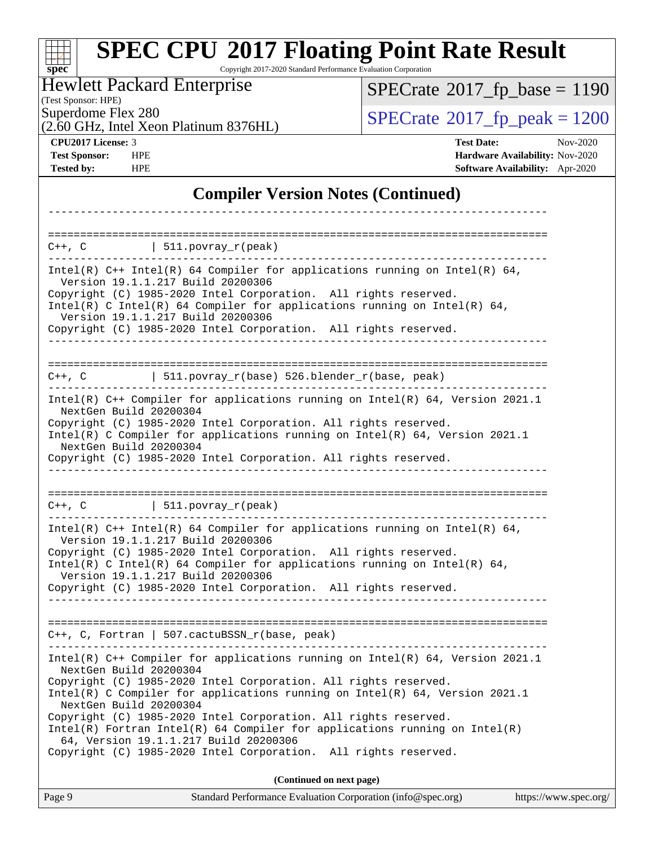#### **[spec](http://www.spec.org/) [SPEC CPU](http://www.spec.org/auto/cpu2017/Docs/result-fields.html#SPECCPU2017FloatingPointRateResult)[2017 Floating Point Rate Result](http://www.spec.org/auto/cpu2017/Docs/result-fields.html#SPECCPU2017FloatingPointRateResult)** Copyright 2017-2020 Standard Performance Evaluation Corporation (Test Sponsor: HPE) Hewlett Packard Enterprise (2.60 GHz, Intel Xeon Platinum 8376HL) Superdome Flex 280<br>  $S$ PECrate<sup>®</sup>2017 fp\_peak = 1200  $SPECTate@2017_fp\_base = 1190$ **[CPU2017 License:](http://www.spec.org/auto/cpu2017/Docs/result-fields.html#CPU2017License)** 3 **[Test Date:](http://www.spec.org/auto/cpu2017/Docs/result-fields.html#TestDate)** Nov-2020 **[Test Sponsor:](http://www.spec.org/auto/cpu2017/Docs/result-fields.html#TestSponsor)** HPE **[Hardware Availability:](http://www.spec.org/auto/cpu2017/Docs/result-fields.html#HardwareAvailability)** Nov-2020 **[Tested by:](http://www.spec.org/auto/cpu2017/Docs/result-fields.html#Testedby)** HPE **[Software Availability:](http://www.spec.org/auto/cpu2017/Docs/result-fields.html#SoftwareAvailability)** Apr-2020 **[Compiler Version Notes \(Continued\)](http://www.spec.org/auto/cpu2017/Docs/result-fields.html#CompilerVersionNotes)** ------------------------------------------------------------------------------ ==============================================================================  $C++$ ,  $C$  | 511.povray\_r(peak) ------------------------------------------------------------------------------ Intel(R) C++ Intel(R) 64 Compiler for applications running on Intel(R)  $64$ , Version 19.1.1.217 Build 20200306 Copyright (C) 1985-2020 Intel Corporation. All rights reserved. Intel(R) C Intel(R) 64 Compiler for applications running on Intel(R) 64, Version 19.1.1.217 Build 20200306 Copyright (C) 1985-2020 Intel Corporation. All rights reserved. ------------------------------------------------------------------------------ ==============================================================================  $C++$ ,  $C$  | 511.povray\_r(base) 526.blender\_r(base, peak) ------------------------------------------------------------------------------ Intel(R) C++ Compiler for applications running on Intel(R) 64, Version 2021.1 NextGen Build 20200304 Copyright (C) 1985-2020 Intel Corporation. All rights reserved. Intel(R) C Compiler for applications running on Intel(R) 64, Version 2021.1 NextGen Build 20200304 Copyright (C) 1985-2020 Intel Corporation. All rights reserved. ------------------------------------------------------------------------------ ==============================================================================  $C++$ ,  $C$  | 511.povray\_r(peak) ------------------------------------------------------------------------------ Intel(R)  $C++$  Intel(R) 64 Compiler for applications running on Intel(R) 64, Version 19.1.1.217 Build 20200306 Copyright (C) 1985-2020 Intel Corporation. All rights reserved. Intel(R) C Intel(R) 64 Compiler for applications running on Intel(R)  $64$ , Version 19.1.1.217 Build 20200306 Copyright (C) 1985-2020 Intel Corporation. All rights reserved. ------------------------------------------------------------------------------ ============================================================================== C++, C, Fortran | 507.cactuBSSN\_r(base, peak) ------------------------------------------------------------------------------ Intel(R) C++ Compiler for applications running on Intel(R) 64, Version 2021.1 NextGen Build 20200304 Copyright (C) 1985-2020 Intel Corporation. All rights reserved. Intel(R) C Compiler for applications running on Intel(R) 64, Version 2021.1 NextGen Build 20200304 Copyright (C) 1985-2020 Intel Corporation. All rights reserved. Intel(R) Fortran Intel(R) 64 Compiler for applications running on Intel(R) 64, Version 19.1.1.217 Build 20200306 Copyright (C) 1985-2020 Intel Corporation. All rights reserved. **(Continued on next page)**

| Page 9 |                                                             | https://www.spec.org/ |
|--------|-------------------------------------------------------------|-----------------------|
|        | Standard Performance Evaluation Corporation (info@spec.org) |                       |
|        |                                                             |                       |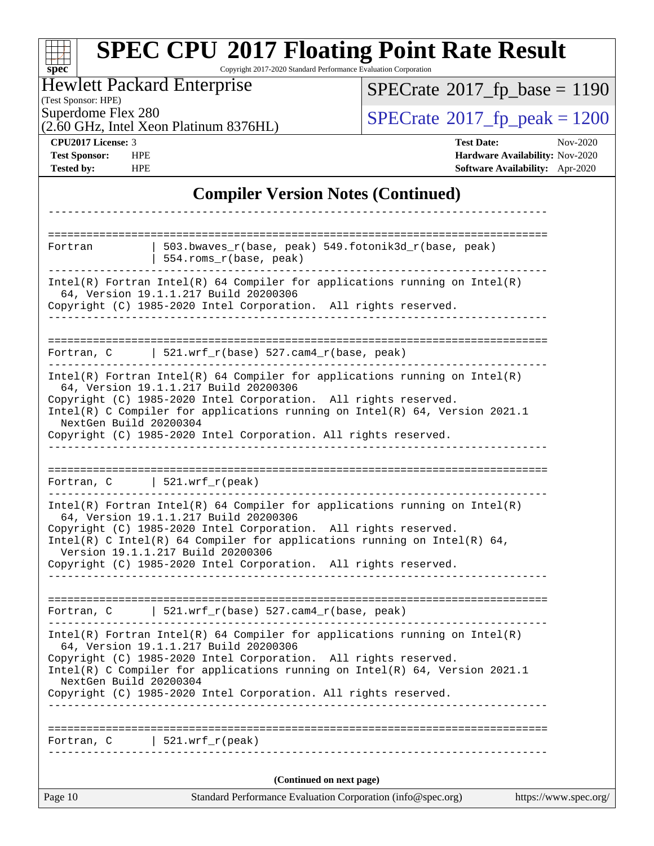| $spec^*$                                                        | <b>SPEC CPU®2017 Floating Point Rate Result</b><br>Copyright 2017-2020 Standard Performance Evaluation Corporation                                                                                                                                                                                                                                                           |                                                                                                            |  |
|-----------------------------------------------------------------|------------------------------------------------------------------------------------------------------------------------------------------------------------------------------------------------------------------------------------------------------------------------------------------------------------------------------------------------------------------------------|------------------------------------------------------------------------------------------------------------|--|
| (Test Sponsor: HPE)                                             | <b>Hewlett Packard Enterprise</b>                                                                                                                                                                                                                                                                                                                                            | $SPECTate$ <sup>®</sup> 2017_fp_base = 1190                                                                |  |
| Superdome Flex 280                                              | (2.60 GHz, Intel Xeon Platinum 8376HL)                                                                                                                                                                                                                                                                                                                                       | $SPECrate^{\circ}2017_fp\_peak = 1200$                                                                     |  |
| CPU2017 License: 3<br><b>Test Sponsor:</b><br><b>Tested by:</b> | <b>HPE</b><br><b>HPE</b>                                                                                                                                                                                                                                                                                                                                                     | <b>Test Date:</b><br>Nov-2020<br>Hardware Availability: Nov-2020<br><b>Software Availability:</b> Apr-2020 |  |
|                                                                 | <b>Compiler Version Notes (Continued)</b>                                                                                                                                                                                                                                                                                                                                    |                                                                                                            |  |
|                                                                 |                                                                                                                                                                                                                                                                                                                                                                              |                                                                                                            |  |
| Fortran                                                         | 503.bwaves_r(base, peak) 549.fotonik3d_r(base, peak)<br>554.roms_r(base, peak)                                                                                                                                                                                                                                                                                               |                                                                                                            |  |
|                                                                 | $Intel(R)$ Fortran Intel(R) 64 Compiler for applications running on Intel(R)<br>64, Version 19.1.1.217 Build 20200306<br>Copyright (C) 1985-2020 Intel Corporation. All rights reserved.                                                                                                                                                                                     |                                                                                                            |  |
| Fortran, C                                                      | $\vert$ 521.wrf_r(base) 527.cam4_r(base, peak)                                                                                                                                                                                                                                                                                                                               | -------------------------------                                                                            |  |
|                                                                 | $Intel(R)$ Fortran Intel(R) 64 Compiler for applications running on Intel(R)<br>64, Version 19.1.1.217 Build 20200306<br>Copyright (C) 1985-2020 Intel Corporation. All rights reserved.<br>Intel(R) C Compiler for applications running on Intel(R) 64, Version 2021.1<br>NextGen Build 20200304<br>Copyright (C) 1985-2020 Intel Corporation. All rights reserved.         |                                                                                                            |  |
| Fortran, C                                                      | 521.wrf $r(\text{peak})$                                                                                                                                                                                                                                                                                                                                                     |                                                                                                            |  |
|                                                                 | $Intel(R)$ Fortran Intel(R) 64 Compiler for applications running on Intel(R)<br>64, Version 19.1.1.217 Build 20200306<br>Copyright (C) 1985-2020 Intel Corporation. All rights reserved.<br>Intel(R) C Intel(R) 64 Compiler for applications running on Intel(R) 64,<br>Version 19.1.1.217 Build 20200306<br>Copyright (C) 1985-2020 Intel Corporation. All rights reserved. |                                                                                                            |  |
|                                                                 | Fortran, C $521.wrf_r(base) 527.cam4_r(base, peak)$                                                                                                                                                                                                                                                                                                                          |                                                                                                            |  |
|                                                                 | $Intel(R)$ Fortran Intel(R) 64 Compiler for applications running on Intel(R)<br>64, Version 19.1.1.217 Build 20200306<br>Copyright (C) 1985-2020 Intel Corporation. All rights reserved.<br>Intel(R) C Compiler for applications running on $Intel(R) 64$ , Version 2021.1<br>NextGen Build 20200304<br>Copyright (C) 1985-2020 Intel Corporation. All rights reserved.      |                                                                                                            |  |
|                                                                 | Fortran, $C$   521.wrf_r(peak)                                                                                                                                                                                                                                                                                                                                               |                                                                                                            |  |
|                                                                 | (Continued on next page)                                                                                                                                                                                                                                                                                                                                                     |                                                                                                            |  |
| Page 10                                                         | Standard Performance Evaluation Corporation (info@spec.org)                                                                                                                                                                                                                                                                                                                  | https://www.spec.org/                                                                                      |  |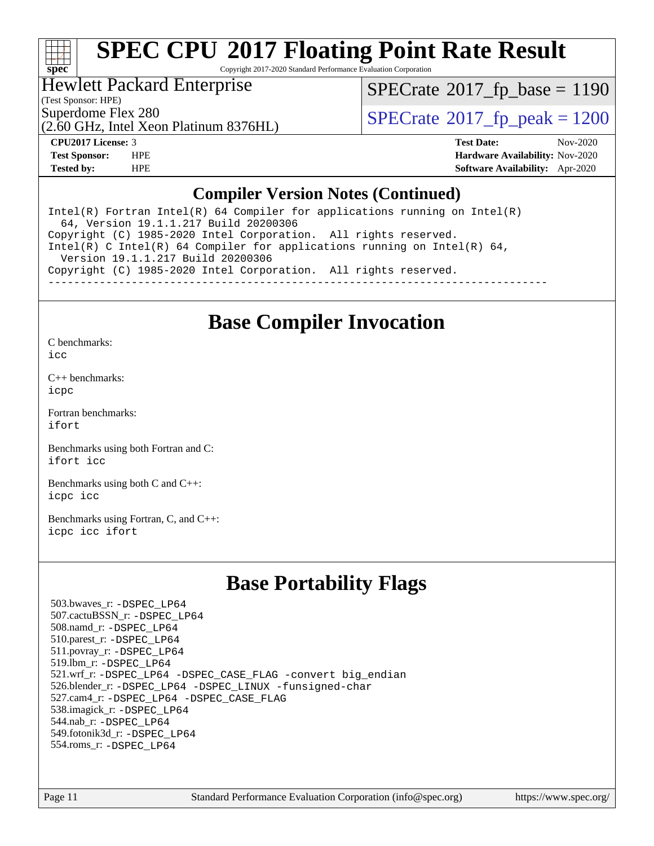

Copyright 2017-2020 Standard Performance Evaluation Corporation

# Hewlett Packard Enterprise

(Test Sponsor: HPE)

 $SPECTate@2017_fp\_base = 1190$ 

(2.60 GHz, Intel Xeon Platinum 8376HL)

Superdome Flex 280<br>  $S$ PECrate<sup>®</sup>2017 fp\_peak = 1200

**[CPU2017 License:](http://www.spec.org/auto/cpu2017/Docs/result-fields.html#CPU2017License)** 3 **[Test Date:](http://www.spec.org/auto/cpu2017/Docs/result-fields.html#TestDate)** Nov-2020 **[Test Sponsor:](http://www.spec.org/auto/cpu2017/Docs/result-fields.html#TestSponsor)** HPE **[Hardware Availability:](http://www.spec.org/auto/cpu2017/Docs/result-fields.html#HardwareAvailability)** Nov-2020 **[Tested by:](http://www.spec.org/auto/cpu2017/Docs/result-fields.html#Testedby)** HPE **[Software Availability:](http://www.spec.org/auto/cpu2017/Docs/result-fields.html#SoftwareAvailability)** Apr-2020

## **[Compiler Version Notes \(Continued\)](http://www.spec.org/auto/cpu2017/Docs/result-fields.html#CompilerVersionNotes)**

Intel(R) Fortran Intel(R)  $64$  Compiler for applications running on Intel(R) 64, Version 19.1.1.217 Build 20200306 Copyright (C) 1985-2020 Intel Corporation. All rights reserved. Intel(R) C Intel(R) 64 Compiler for applications running on Intel(R) 64, Version 19.1.1.217 Build 20200306 Copyright (C) 1985-2020 Intel Corporation. All rights reserved. ------------------------------------------------------------------------------

# **[Base Compiler Invocation](http://www.spec.org/auto/cpu2017/Docs/result-fields.html#BaseCompilerInvocation)**

[C benchmarks](http://www.spec.org/auto/cpu2017/Docs/result-fields.html#Cbenchmarks):

[icc](http://www.spec.org/cpu2017/results/res2020q4/cpu2017-20201123-24418.flags.html#user_CCbase_intel_icc_66fc1ee009f7361af1fbd72ca7dcefbb700085f36577c54f309893dd4ec40d12360134090235512931783d35fd58c0460139e722d5067c5574d8eaf2b3e37e92)

[C++ benchmarks:](http://www.spec.org/auto/cpu2017/Docs/result-fields.html#CXXbenchmarks) [icpc](http://www.spec.org/cpu2017/results/res2020q4/cpu2017-20201123-24418.flags.html#user_CXXbase_intel_icpc_c510b6838c7f56d33e37e94d029a35b4a7bccf4766a728ee175e80a419847e808290a9b78be685c44ab727ea267ec2f070ec5dc83b407c0218cded6866a35d07)

[Fortran benchmarks](http://www.spec.org/auto/cpu2017/Docs/result-fields.html#Fortranbenchmarks): [ifort](http://www.spec.org/cpu2017/results/res2020q4/cpu2017-20201123-24418.flags.html#user_FCbase_intel_ifort_8111460550e3ca792625aed983ce982f94888b8b503583aa7ba2b8303487b4d8a21a13e7191a45c5fd58ff318f48f9492884d4413fa793fd88dd292cad7027ca)

[Benchmarks using both Fortran and C](http://www.spec.org/auto/cpu2017/Docs/result-fields.html#BenchmarksusingbothFortranandC): [ifort](http://www.spec.org/cpu2017/results/res2020q4/cpu2017-20201123-24418.flags.html#user_CC_FCbase_intel_ifort_8111460550e3ca792625aed983ce982f94888b8b503583aa7ba2b8303487b4d8a21a13e7191a45c5fd58ff318f48f9492884d4413fa793fd88dd292cad7027ca) [icc](http://www.spec.org/cpu2017/results/res2020q4/cpu2017-20201123-24418.flags.html#user_CC_FCbase_intel_icc_66fc1ee009f7361af1fbd72ca7dcefbb700085f36577c54f309893dd4ec40d12360134090235512931783d35fd58c0460139e722d5067c5574d8eaf2b3e37e92)

[Benchmarks using both C and C++](http://www.spec.org/auto/cpu2017/Docs/result-fields.html#BenchmarksusingbothCandCXX): [icpc](http://www.spec.org/cpu2017/results/res2020q4/cpu2017-20201123-24418.flags.html#user_CC_CXXbase_intel_icpc_c510b6838c7f56d33e37e94d029a35b4a7bccf4766a728ee175e80a419847e808290a9b78be685c44ab727ea267ec2f070ec5dc83b407c0218cded6866a35d07) [icc](http://www.spec.org/cpu2017/results/res2020q4/cpu2017-20201123-24418.flags.html#user_CC_CXXbase_intel_icc_66fc1ee009f7361af1fbd72ca7dcefbb700085f36577c54f309893dd4ec40d12360134090235512931783d35fd58c0460139e722d5067c5574d8eaf2b3e37e92)

[Benchmarks using Fortran, C, and C++:](http://www.spec.org/auto/cpu2017/Docs/result-fields.html#BenchmarksusingFortranCandCXX) [icpc](http://www.spec.org/cpu2017/results/res2020q4/cpu2017-20201123-24418.flags.html#user_CC_CXX_FCbase_intel_icpc_c510b6838c7f56d33e37e94d029a35b4a7bccf4766a728ee175e80a419847e808290a9b78be685c44ab727ea267ec2f070ec5dc83b407c0218cded6866a35d07) [icc](http://www.spec.org/cpu2017/results/res2020q4/cpu2017-20201123-24418.flags.html#user_CC_CXX_FCbase_intel_icc_66fc1ee009f7361af1fbd72ca7dcefbb700085f36577c54f309893dd4ec40d12360134090235512931783d35fd58c0460139e722d5067c5574d8eaf2b3e37e92) [ifort](http://www.spec.org/cpu2017/results/res2020q4/cpu2017-20201123-24418.flags.html#user_CC_CXX_FCbase_intel_ifort_8111460550e3ca792625aed983ce982f94888b8b503583aa7ba2b8303487b4d8a21a13e7191a45c5fd58ff318f48f9492884d4413fa793fd88dd292cad7027ca)

# **[Base Portability Flags](http://www.spec.org/auto/cpu2017/Docs/result-fields.html#BasePortabilityFlags)**

 503.bwaves\_r: [-DSPEC\\_LP64](http://www.spec.org/cpu2017/results/res2020q4/cpu2017-20201123-24418.flags.html#suite_basePORTABILITY503_bwaves_r_DSPEC_LP64) 507.cactuBSSN\_r: [-DSPEC\\_LP64](http://www.spec.org/cpu2017/results/res2020q4/cpu2017-20201123-24418.flags.html#suite_basePORTABILITY507_cactuBSSN_r_DSPEC_LP64) 508.namd\_r: [-DSPEC\\_LP64](http://www.spec.org/cpu2017/results/res2020q4/cpu2017-20201123-24418.flags.html#suite_basePORTABILITY508_namd_r_DSPEC_LP64) 510.parest\_r: [-DSPEC\\_LP64](http://www.spec.org/cpu2017/results/res2020q4/cpu2017-20201123-24418.flags.html#suite_basePORTABILITY510_parest_r_DSPEC_LP64) 511.povray\_r: [-DSPEC\\_LP64](http://www.spec.org/cpu2017/results/res2020q4/cpu2017-20201123-24418.flags.html#suite_basePORTABILITY511_povray_r_DSPEC_LP64) 519.lbm\_r: [-DSPEC\\_LP64](http://www.spec.org/cpu2017/results/res2020q4/cpu2017-20201123-24418.flags.html#suite_basePORTABILITY519_lbm_r_DSPEC_LP64) 521.wrf\_r: [-DSPEC\\_LP64](http://www.spec.org/cpu2017/results/res2020q4/cpu2017-20201123-24418.flags.html#suite_basePORTABILITY521_wrf_r_DSPEC_LP64) [-DSPEC\\_CASE\\_FLAG](http://www.spec.org/cpu2017/results/res2020q4/cpu2017-20201123-24418.flags.html#b521.wrf_r_baseCPORTABILITY_DSPEC_CASE_FLAG) [-convert big\\_endian](http://www.spec.org/cpu2017/results/res2020q4/cpu2017-20201123-24418.flags.html#user_baseFPORTABILITY521_wrf_r_convert_big_endian_c3194028bc08c63ac5d04de18c48ce6d347e4e562e8892b8bdbdc0214820426deb8554edfa529a3fb25a586e65a3d812c835984020483e7e73212c4d31a38223) 526.blender\_r: [-DSPEC\\_LP64](http://www.spec.org/cpu2017/results/res2020q4/cpu2017-20201123-24418.flags.html#suite_basePORTABILITY526_blender_r_DSPEC_LP64) [-DSPEC\\_LINUX](http://www.spec.org/cpu2017/results/res2020q4/cpu2017-20201123-24418.flags.html#b526.blender_r_baseCPORTABILITY_DSPEC_LINUX) [-funsigned-char](http://www.spec.org/cpu2017/results/res2020q4/cpu2017-20201123-24418.flags.html#user_baseCPORTABILITY526_blender_r_force_uchar_40c60f00ab013830e2dd6774aeded3ff59883ba5a1fc5fc14077f794d777847726e2a5858cbc7672e36e1b067e7e5c1d9a74f7176df07886a243d7cc18edfe67) 527.cam4\_r: [-DSPEC\\_LP64](http://www.spec.org/cpu2017/results/res2020q4/cpu2017-20201123-24418.flags.html#suite_basePORTABILITY527_cam4_r_DSPEC_LP64) [-DSPEC\\_CASE\\_FLAG](http://www.spec.org/cpu2017/results/res2020q4/cpu2017-20201123-24418.flags.html#b527.cam4_r_baseCPORTABILITY_DSPEC_CASE_FLAG) 538.imagick\_r: [-DSPEC\\_LP64](http://www.spec.org/cpu2017/results/res2020q4/cpu2017-20201123-24418.flags.html#suite_basePORTABILITY538_imagick_r_DSPEC_LP64) 544.nab\_r: [-DSPEC\\_LP64](http://www.spec.org/cpu2017/results/res2020q4/cpu2017-20201123-24418.flags.html#suite_basePORTABILITY544_nab_r_DSPEC_LP64) 549.fotonik3d\_r: [-DSPEC\\_LP64](http://www.spec.org/cpu2017/results/res2020q4/cpu2017-20201123-24418.flags.html#suite_basePORTABILITY549_fotonik3d_r_DSPEC_LP64) 554.roms\_r: [-DSPEC\\_LP64](http://www.spec.org/cpu2017/results/res2020q4/cpu2017-20201123-24418.flags.html#suite_basePORTABILITY554_roms_r_DSPEC_LP64)

Page 11 Standard Performance Evaluation Corporation [\(info@spec.org\)](mailto:info@spec.org) <https://www.spec.org/>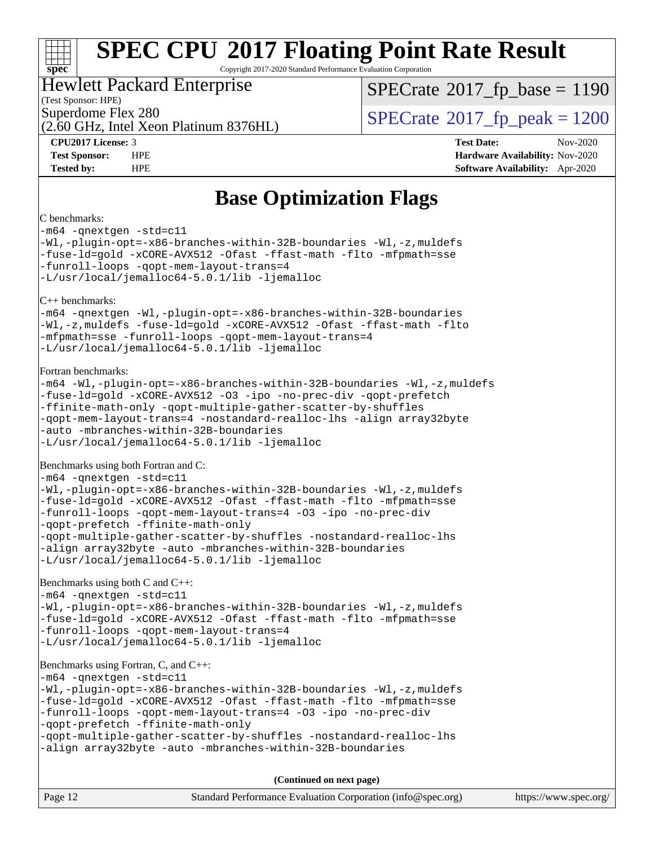# **[spec](http://www.spec.org/)**

# **[SPEC CPU](http://www.spec.org/auto/cpu2017/Docs/result-fields.html#SPECCPU2017FloatingPointRateResult)[2017 Floating Point Rate Result](http://www.spec.org/auto/cpu2017/Docs/result-fields.html#SPECCPU2017FloatingPointRateResult)**

Copyright 2017-2020 Standard Performance Evaluation Corporation

#### Hewlett Packard Enterprise

(Test Sponsor: HPE)

(2.60 GHz, Intel Xeon Platinum 8376HL)

[SPECrate](http://www.spec.org/auto/cpu2017/Docs/result-fields.html#SPECrate2017fpbase)<sup>®</sup>2017 fp base = 1190

Superdome Flex 280<br>  $S$ PECrate®2017 fp\_peak = 1200

**[CPU2017 License:](http://www.spec.org/auto/cpu2017/Docs/result-fields.html#CPU2017License)** 3 **[Test Date:](http://www.spec.org/auto/cpu2017/Docs/result-fields.html#TestDate)** Nov-2020 **[Test Sponsor:](http://www.spec.org/auto/cpu2017/Docs/result-fields.html#TestSponsor)** HPE **[Hardware Availability:](http://www.spec.org/auto/cpu2017/Docs/result-fields.html#HardwareAvailability)** Nov-2020 **[Tested by:](http://www.spec.org/auto/cpu2017/Docs/result-fields.html#Testedby)** HPE **[Software Availability:](http://www.spec.org/auto/cpu2017/Docs/result-fields.html#SoftwareAvailability)** Apr-2020

# **[Base Optimization Flags](http://www.spec.org/auto/cpu2017/Docs/result-fields.html#BaseOptimizationFlags)**

#### [C benchmarks:](http://www.spec.org/auto/cpu2017/Docs/result-fields.html#Cbenchmarks)

[-m64](http://www.spec.org/cpu2017/results/res2020q4/cpu2017-20201123-24418.flags.html#user_CCbase_m64-icc) [-qnextgen](http://www.spec.org/cpu2017/results/res2020q4/cpu2017-20201123-24418.flags.html#user_CCbase_f-qnextgen) [-std=c11](http://www.spec.org/cpu2017/results/res2020q4/cpu2017-20201123-24418.flags.html#user_CCbase_std-icc-std_0e1c27790398a4642dfca32ffe6c27b5796f9c2d2676156f2e42c9c44eaad0c049b1cdb667a270c34d979996257aeb8fc440bfb01818dbc9357bd9d174cb8524) [-Wl,-plugin-opt=-x86-branches-within-32B-boundaries](http://www.spec.org/cpu2017/results/res2020q4/cpu2017-20201123-24418.flags.html#user_CCbase_f-x86-branches-within-32B-boundaries_0098b4e4317ae60947b7b728078a624952a08ac37a3c797dfb4ffeb399e0c61a9dd0f2f44ce917e9361fb9076ccb15e7824594512dd315205382d84209e912f3) [-Wl,-z,muldefs](http://www.spec.org/cpu2017/results/res2020q4/cpu2017-20201123-24418.flags.html#user_CCbase_link_force_multiple1_b4cbdb97b34bdee9ceefcfe54f4c8ea74255f0b02a4b23e853cdb0e18eb4525ac79b5a88067c842dd0ee6996c24547a27a4b99331201badda8798ef8a743f577) [-fuse-ld=gold](http://www.spec.org/cpu2017/results/res2020q4/cpu2017-20201123-24418.flags.html#user_CCbase_f-fuse-ld_920b3586e2b8c6e0748b9c84fa9b744736ba725a32cab14ad8f3d4ad28eecb2f59d1144823d2e17006539a88734fe1fc08fc3035f7676166309105a78aaabc32) [-xCORE-AVX512](http://www.spec.org/cpu2017/results/res2020q4/cpu2017-20201123-24418.flags.html#user_CCbase_f-xCORE-AVX512) [-Ofast](http://www.spec.org/cpu2017/results/res2020q4/cpu2017-20201123-24418.flags.html#user_CCbase_f-Ofast) [-ffast-math](http://www.spec.org/cpu2017/results/res2020q4/cpu2017-20201123-24418.flags.html#user_CCbase_f-ffast-math) [-flto](http://www.spec.org/cpu2017/results/res2020q4/cpu2017-20201123-24418.flags.html#user_CCbase_f-flto) [-mfpmath=sse](http://www.spec.org/cpu2017/results/res2020q4/cpu2017-20201123-24418.flags.html#user_CCbase_f-mfpmath_70eb8fac26bde974f8ab713bc9086c5621c0b8d2f6c86f38af0bd7062540daf19db5f3a066d8c6684be05d84c9b6322eb3b5be6619d967835195b93d6c02afa1) [-funroll-loops](http://www.spec.org/cpu2017/results/res2020q4/cpu2017-20201123-24418.flags.html#user_CCbase_f-funroll-loops) [-qopt-mem-layout-trans=4](http://www.spec.org/cpu2017/results/res2020q4/cpu2017-20201123-24418.flags.html#user_CCbase_f-qopt-mem-layout-trans_fa39e755916c150a61361b7846f310bcdf6f04e385ef281cadf3647acec3f0ae266d1a1d22d972a7087a248fd4e6ca390a3634700869573d231a252c784941a8) [-L/usr/local/jemalloc64-5.0.1/lib](http://www.spec.org/cpu2017/results/res2020q4/cpu2017-20201123-24418.flags.html#user_CCbase_jemalloc_link_path64_1_cc289568b1a6c0fd3b62c91b824c27fcb5af5e8098e6ad028160d21144ef1b8aef3170d2acf0bee98a8da324cfe4f67d0a3d0c4cc4673d993d694dc2a0df248b) [-ljemalloc](http://www.spec.org/cpu2017/results/res2020q4/cpu2017-20201123-24418.flags.html#user_CCbase_jemalloc_link_lib_d1249b907c500fa1c0672f44f562e3d0f79738ae9e3c4a9c376d49f265a04b9c99b167ecedbf6711b3085be911c67ff61f150a17b3472be731631ba4d0471706) [C++ benchmarks:](http://www.spec.org/auto/cpu2017/Docs/result-fields.html#CXXbenchmarks) [-m64](http://www.spec.org/cpu2017/results/res2020q4/cpu2017-20201123-24418.flags.html#user_CXXbase_m64-icc) [-qnextgen](http://www.spec.org/cpu2017/results/res2020q4/cpu2017-20201123-24418.flags.html#user_CXXbase_f-qnextgen) [-Wl,-plugin-opt=-x86-branches-within-32B-boundaries](http://www.spec.org/cpu2017/results/res2020q4/cpu2017-20201123-24418.flags.html#user_CXXbase_f-x86-branches-within-32B-boundaries_0098b4e4317ae60947b7b728078a624952a08ac37a3c797dfb4ffeb399e0c61a9dd0f2f44ce917e9361fb9076ccb15e7824594512dd315205382d84209e912f3) [-Wl,-z,muldefs](http://www.spec.org/cpu2017/results/res2020q4/cpu2017-20201123-24418.flags.html#user_CXXbase_link_force_multiple1_b4cbdb97b34bdee9ceefcfe54f4c8ea74255f0b02a4b23e853cdb0e18eb4525ac79b5a88067c842dd0ee6996c24547a27a4b99331201badda8798ef8a743f577) [-fuse-ld=gold](http://www.spec.org/cpu2017/results/res2020q4/cpu2017-20201123-24418.flags.html#user_CXXbase_f-fuse-ld_920b3586e2b8c6e0748b9c84fa9b744736ba725a32cab14ad8f3d4ad28eecb2f59d1144823d2e17006539a88734fe1fc08fc3035f7676166309105a78aaabc32) [-xCORE-AVX512](http://www.spec.org/cpu2017/results/res2020q4/cpu2017-20201123-24418.flags.html#user_CXXbase_f-xCORE-AVX512) [-Ofast](http://www.spec.org/cpu2017/results/res2020q4/cpu2017-20201123-24418.flags.html#user_CXXbase_f-Ofast) [-ffast-math](http://www.spec.org/cpu2017/results/res2020q4/cpu2017-20201123-24418.flags.html#user_CXXbase_f-ffast-math) [-flto](http://www.spec.org/cpu2017/results/res2020q4/cpu2017-20201123-24418.flags.html#user_CXXbase_f-flto) [-mfpmath=sse](http://www.spec.org/cpu2017/results/res2020q4/cpu2017-20201123-24418.flags.html#user_CXXbase_f-mfpmath_70eb8fac26bde974f8ab713bc9086c5621c0b8d2f6c86f38af0bd7062540daf19db5f3a066d8c6684be05d84c9b6322eb3b5be6619d967835195b93d6c02afa1) [-funroll-loops](http://www.spec.org/cpu2017/results/res2020q4/cpu2017-20201123-24418.flags.html#user_CXXbase_f-funroll-loops) [-qopt-mem-layout-trans=4](http://www.spec.org/cpu2017/results/res2020q4/cpu2017-20201123-24418.flags.html#user_CXXbase_f-qopt-mem-layout-trans_fa39e755916c150a61361b7846f310bcdf6f04e385ef281cadf3647acec3f0ae266d1a1d22d972a7087a248fd4e6ca390a3634700869573d231a252c784941a8) [-L/usr/local/jemalloc64-5.0.1/lib](http://www.spec.org/cpu2017/results/res2020q4/cpu2017-20201123-24418.flags.html#user_CXXbase_jemalloc_link_path64_1_cc289568b1a6c0fd3b62c91b824c27fcb5af5e8098e6ad028160d21144ef1b8aef3170d2acf0bee98a8da324cfe4f67d0a3d0c4cc4673d993d694dc2a0df248b) [-ljemalloc](http://www.spec.org/cpu2017/results/res2020q4/cpu2017-20201123-24418.flags.html#user_CXXbase_jemalloc_link_lib_d1249b907c500fa1c0672f44f562e3d0f79738ae9e3c4a9c376d49f265a04b9c99b167ecedbf6711b3085be911c67ff61f150a17b3472be731631ba4d0471706) [Fortran benchmarks](http://www.spec.org/auto/cpu2017/Docs/result-fields.html#Fortranbenchmarks): [-m64](http://www.spec.org/cpu2017/results/res2020q4/cpu2017-20201123-24418.flags.html#user_FCbase_m64-icc) [-Wl,-plugin-opt=-x86-branches-within-32B-boundaries](http://www.spec.org/cpu2017/results/res2020q4/cpu2017-20201123-24418.flags.html#user_FCbase_f-x86-branches-within-32B-boundaries_0098b4e4317ae60947b7b728078a624952a08ac37a3c797dfb4ffeb399e0c61a9dd0f2f44ce917e9361fb9076ccb15e7824594512dd315205382d84209e912f3) [-Wl,-z,muldefs](http://www.spec.org/cpu2017/results/res2020q4/cpu2017-20201123-24418.flags.html#user_FCbase_link_force_multiple1_b4cbdb97b34bdee9ceefcfe54f4c8ea74255f0b02a4b23e853cdb0e18eb4525ac79b5a88067c842dd0ee6996c24547a27a4b99331201badda8798ef8a743f577) [-fuse-ld=gold](http://www.spec.org/cpu2017/results/res2020q4/cpu2017-20201123-24418.flags.html#user_FCbase_f-fuse-ld_920b3586e2b8c6e0748b9c84fa9b744736ba725a32cab14ad8f3d4ad28eecb2f59d1144823d2e17006539a88734fe1fc08fc3035f7676166309105a78aaabc32) [-xCORE-AVX512](http://www.spec.org/cpu2017/results/res2020q4/cpu2017-20201123-24418.flags.html#user_FCbase_f-xCORE-AVX512) [-O3](http://www.spec.org/cpu2017/results/res2020q4/cpu2017-20201123-24418.flags.html#user_FCbase_f-O3) [-ipo](http://www.spec.org/cpu2017/results/res2020q4/cpu2017-20201123-24418.flags.html#user_FCbase_f-ipo) [-no-prec-div](http://www.spec.org/cpu2017/results/res2020q4/cpu2017-20201123-24418.flags.html#user_FCbase_f-no-prec-div) [-qopt-prefetch](http://www.spec.org/cpu2017/results/res2020q4/cpu2017-20201123-24418.flags.html#user_FCbase_f-qopt-prefetch) [-ffinite-math-only](http://www.spec.org/cpu2017/results/res2020q4/cpu2017-20201123-24418.flags.html#user_FCbase_f_finite_math_only_cb91587bd2077682c4b38af759c288ed7c732db004271a9512da14a4f8007909a5f1427ecbf1a0fb78ff2a814402c6114ac565ca162485bbcae155b5e4258871) [-qopt-multiple-gather-scatter-by-shuffles](http://www.spec.org/cpu2017/results/res2020q4/cpu2017-20201123-24418.flags.html#user_FCbase_f-qopt-multiple-gather-scatter-by-shuffles) [-qopt-mem-layout-trans=4](http://www.spec.org/cpu2017/results/res2020q4/cpu2017-20201123-24418.flags.html#user_FCbase_f-qopt-mem-layout-trans_fa39e755916c150a61361b7846f310bcdf6f04e385ef281cadf3647acec3f0ae266d1a1d22d972a7087a248fd4e6ca390a3634700869573d231a252c784941a8) [-nostandard-realloc-lhs](http://www.spec.org/cpu2017/results/res2020q4/cpu2017-20201123-24418.flags.html#user_FCbase_f_2003_std_realloc_82b4557e90729c0f113870c07e44d33d6f5a304b4f63d4c15d2d0f1fab99f5daaed73bdb9275d9ae411527f28b936061aa8b9c8f2d63842963b95c9dd6426b8a) [-align array32byte](http://www.spec.org/cpu2017/results/res2020q4/cpu2017-20201123-24418.flags.html#user_FCbase_align_array32byte_b982fe038af199962ba9a80c053b8342c548c85b40b8e86eb3cc33dee0d7986a4af373ac2d51c3f7cf710a18d62fdce2948f201cd044323541f22fc0fffc51b6) [-auto](http://www.spec.org/cpu2017/results/res2020q4/cpu2017-20201123-24418.flags.html#user_FCbase_f-auto) [-mbranches-within-32B-boundaries](http://www.spec.org/cpu2017/results/res2020q4/cpu2017-20201123-24418.flags.html#user_FCbase_f-mbranches-within-32B-boundaries) [-L/usr/local/jemalloc64-5.0.1/lib](http://www.spec.org/cpu2017/results/res2020q4/cpu2017-20201123-24418.flags.html#user_FCbase_jemalloc_link_path64_1_cc289568b1a6c0fd3b62c91b824c27fcb5af5e8098e6ad028160d21144ef1b8aef3170d2acf0bee98a8da324cfe4f67d0a3d0c4cc4673d993d694dc2a0df248b) [-ljemalloc](http://www.spec.org/cpu2017/results/res2020q4/cpu2017-20201123-24418.flags.html#user_FCbase_jemalloc_link_lib_d1249b907c500fa1c0672f44f562e3d0f79738ae9e3c4a9c376d49f265a04b9c99b167ecedbf6711b3085be911c67ff61f150a17b3472be731631ba4d0471706) [Benchmarks using both Fortran and C:](http://www.spec.org/auto/cpu2017/Docs/result-fields.html#BenchmarksusingbothFortranandC) [-m64](http://www.spec.org/cpu2017/results/res2020q4/cpu2017-20201123-24418.flags.html#user_CC_FCbase_m64-icc) [-qnextgen](http://www.spec.org/cpu2017/results/res2020q4/cpu2017-20201123-24418.flags.html#user_CC_FCbase_f-qnextgen) [-std=c11](http://www.spec.org/cpu2017/results/res2020q4/cpu2017-20201123-24418.flags.html#user_CC_FCbase_std-icc-std_0e1c27790398a4642dfca32ffe6c27b5796f9c2d2676156f2e42c9c44eaad0c049b1cdb667a270c34d979996257aeb8fc440bfb01818dbc9357bd9d174cb8524) [-Wl,-plugin-opt=-x86-branches-within-32B-boundaries](http://www.spec.org/cpu2017/results/res2020q4/cpu2017-20201123-24418.flags.html#user_CC_FCbase_f-x86-branches-within-32B-boundaries_0098b4e4317ae60947b7b728078a624952a08ac37a3c797dfb4ffeb399e0c61a9dd0f2f44ce917e9361fb9076ccb15e7824594512dd315205382d84209e912f3) [-Wl,-z,muldefs](http://www.spec.org/cpu2017/results/res2020q4/cpu2017-20201123-24418.flags.html#user_CC_FCbase_link_force_multiple1_b4cbdb97b34bdee9ceefcfe54f4c8ea74255f0b02a4b23e853cdb0e18eb4525ac79b5a88067c842dd0ee6996c24547a27a4b99331201badda8798ef8a743f577) [-fuse-ld=gold](http://www.spec.org/cpu2017/results/res2020q4/cpu2017-20201123-24418.flags.html#user_CC_FCbase_f-fuse-ld_920b3586e2b8c6e0748b9c84fa9b744736ba725a32cab14ad8f3d4ad28eecb2f59d1144823d2e17006539a88734fe1fc08fc3035f7676166309105a78aaabc32) [-xCORE-AVX512](http://www.spec.org/cpu2017/results/res2020q4/cpu2017-20201123-24418.flags.html#user_CC_FCbase_f-xCORE-AVX512) [-Ofast](http://www.spec.org/cpu2017/results/res2020q4/cpu2017-20201123-24418.flags.html#user_CC_FCbase_f-Ofast) [-ffast-math](http://www.spec.org/cpu2017/results/res2020q4/cpu2017-20201123-24418.flags.html#user_CC_FCbase_f-ffast-math) [-flto](http://www.spec.org/cpu2017/results/res2020q4/cpu2017-20201123-24418.flags.html#user_CC_FCbase_f-flto) [-mfpmath=sse](http://www.spec.org/cpu2017/results/res2020q4/cpu2017-20201123-24418.flags.html#user_CC_FCbase_f-mfpmath_70eb8fac26bde974f8ab713bc9086c5621c0b8d2f6c86f38af0bd7062540daf19db5f3a066d8c6684be05d84c9b6322eb3b5be6619d967835195b93d6c02afa1) [-funroll-loops](http://www.spec.org/cpu2017/results/res2020q4/cpu2017-20201123-24418.flags.html#user_CC_FCbase_f-funroll-loops) [-qopt-mem-layout-trans=4](http://www.spec.org/cpu2017/results/res2020q4/cpu2017-20201123-24418.flags.html#user_CC_FCbase_f-qopt-mem-layout-trans_fa39e755916c150a61361b7846f310bcdf6f04e385ef281cadf3647acec3f0ae266d1a1d22d972a7087a248fd4e6ca390a3634700869573d231a252c784941a8) [-O3](http://www.spec.org/cpu2017/results/res2020q4/cpu2017-20201123-24418.flags.html#user_CC_FCbase_f-O3) [-ipo](http://www.spec.org/cpu2017/results/res2020q4/cpu2017-20201123-24418.flags.html#user_CC_FCbase_f-ipo) [-no-prec-div](http://www.spec.org/cpu2017/results/res2020q4/cpu2017-20201123-24418.flags.html#user_CC_FCbase_f-no-prec-div) [-qopt-prefetch](http://www.spec.org/cpu2017/results/res2020q4/cpu2017-20201123-24418.flags.html#user_CC_FCbase_f-qopt-prefetch) [-ffinite-math-only](http://www.spec.org/cpu2017/results/res2020q4/cpu2017-20201123-24418.flags.html#user_CC_FCbase_f_finite_math_only_cb91587bd2077682c4b38af759c288ed7c732db004271a9512da14a4f8007909a5f1427ecbf1a0fb78ff2a814402c6114ac565ca162485bbcae155b5e4258871) [-qopt-multiple-gather-scatter-by-shuffles](http://www.spec.org/cpu2017/results/res2020q4/cpu2017-20201123-24418.flags.html#user_CC_FCbase_f-qopt-multiple-gather-scatter-by-shuffles) [-nostandard-realloc-lhs](http://www.spec.org/cpu2017/results/res2020q4/cpu2017-20201123-24418.flags.html#user_CC_FCbase_f_2003_std_realloc_82b4557e90729c0f113870c07e44d33d6f5a304b4f63d4c15d2d0f1fab99f5daaed73bdb9275d9ae411527f28b936061aa8b9c8f2d63842963b95c9dd6426b8a) [-align array32byte](http://www.spec.org/cpu2017/results/res2020q4/cpu2017-20201123-24418.flags.html#user_CC_FCbase_align_array32byte_b982fe038af199962ba9a80c053b8342c548c85b40b8e86eb3cc33dee0d7986a4af373ac2d51c3f7cf710a18d62fdce2948f201cd044323541f22fc0fffc51b6) [-auto](http://www.spec.org/cpu2017/results/res2020q4/cpu2017-20201123-24418.flags.html#user_CC_FCbase_f-auto) [-mbranches-within-32B-boundaries](http://www.spec.org/cpu2017/results/res2020q4/cpu2017-20201123-24418.flags.html#user_CC_FCbase_f-mbranches-within-32B-boundaries) [-L/usr/local/jemalloc64-5.0.1/lib](http://www.spec.org/cpu2017/results/res2020q4/cpu2017-20201123-24418.flags.html#user_CC_FCbase_jemalloc_link_path64_1_cc289568b1a6c0fd3b62c91b824c27fcb5af5e8098e6ad028160d21144ef1b8aef3170d2acf0bee98a8da324cfe4f67d0a3d0c4cc4673d993d694dc2a0df248b) [-ljemalloc](http://www.spec.org/cpu2017/results/res2020q4/cpu2017-20201123-24418.flags.html#user_CC_FCbase_jemalloc_link_lib_d1249b907c500fa1c0672f44f562e3d0f79738ae9e3c4a9c376d49f265a04b9c99b167ecedbf6711b3085be911c67ff61f150a17b3472be731631ba4d0471706) [Benchmarks using both C and C++](http://www.spec.org/auto/cpu2017/Docs/result-fields.html#BenchmarksusingbothCandCXX): [-m64](http://www.spec.org/cpu2017/results/res2020q4/cpu2017-20201123-24418.flags.html#user_CC_CXXbase_m64-icc) [-qnextgen](http://www.spec.org/cpu2017/results/res2020q4/cpu2017-20201123-24418.flags.html#user_CC_CXXbase_f-qnextgen) [-std=c11](http://www.spec.org/cpu2017/results/res2020q4/cpu2017-20201123-24418.flags.html#user_CC_CXXbase_std-icc-std_0e1c27790398a4642dfca32ffe6c27b5796f9c2d2676156f2e42c9c44eaad0c049b1cdb667a270c34d979996257aeb8fc440bfb01818dbc9357bd9d174cb8524) [-Wl,-plugin-opt=-x86-branches-within-32B-boundaries](http://www.spec.org/cpu2017/results/res2020q4/cpu2017-20201123-24418.flags.html#user_CC_CXXbase_f-x86-branches-within-32B-boundaries_0098b4e4317ae60947b7b728078a624952a08ac37a3c797dfb4ffeb399e0c61a9dd0f2f44ce917e9361fb9076ccb15e7824594512dd315205382d84209e912f3) [-Wl,-z,muldefs](http://www.spec.org/cpu2017/results/res2020q4/cpu2017-20201123-24418.flags.html#user_CC_CXXbase_link_force_multiple1_b4cbdb97b34bdee9ceefcfe54f4c8ea74255f0b02a4b23e853cdb0e18eb4525ac79b5a88067c842dd0ee6996c24547a27a4b99331201badda8798ef8a743f577) [-fuse-ld=gold](http://www.spec.org/cpu2017/results/res2020q4/cpu2017-20201123-24418.flags.html#user_CC_CXXbase_f-fuse-ld_920b3586e2b8c6e0748b9c84fa9b744736ba725a32cab14ad8f3d4ad28eecb2f59d1144823d2e17006539a88734fe1fc08fc3035f7676166309105a78aaabc32) [-xCORE-AVX512](http://www.spec.org/cpu2017/results/res2020q4/cpu2017-20201123-24418.flags.html#user_CC_CXXbase_f-xCORE-AVX512) [-Ofast](http://www.spec.org/cpu2017/results/res2020q4/cpu2017-20201123-24418.flags.html#user_CC_CXXbase_f-Ofast) [-ffast-math](http://www.spec.org/cpu2017/results/res2020q4/cpu2017-20201123-24418.flags.html#user_CC_CXXbase_f-ffast-math) [-flto](http://www.spec.org/cpu2017/results/res2020q4/cpu2017-20201123-24418.flags.html#user_CC_CXXbase_f-flto) [-mfpmath=sse](http://www.spec.org/cpu2017/results/res2020q4/cpu2017-20201123-24418.flags.html#user_CC_CXXbase_f-mfpmath_70eb8fac26bde974f8ab713bc9086c5621c0b8d2f6c86f38af0bd7062540daf19db5f3a066d8c6684be05d84c9b6322eb3b5be6619d967835195b93d6c02afa1) [-funroll-loops](http://www.spec.org/cpu2017/results/res2020q4/cpu2017-20201123-24418.flags.html#user_CC_CXXbase_f-funroll-loops) [-qopt-mem-layout-trans=4](http://www.spec.org/cpu2017/results/res2020q4/cpu2017-20201123-24418.flags.html#user_CC_CXXbase_f-qopt-mem-layout-trans_fa39e755916c150a61361b7846f310bcdf6f04e385ef281cadf3647acec3f0ae266d1a1d22d972a7087a248fd4e6ca390a3634700869573d231a252c784941a8) [-L/usr/local/jemalloc64-5.0.1/lib](http://www.spec.org/cpu2017/results/res2020q4/cpu2017-20201123-24418.flags.html#user_CC_CXXbase_jemalloc_link_path64_1_cc289568b1a6c0fd3b62c91b824c27fcb5af5e8098e6ad028160d21144ef1b8aef3170d2acf0bee98a8da324cfe4f67d0a3d0c4cc4673d993d694dc2a0df248b) [-ljemalloc](http://www.spec.org/cpu2017/results/res2020q4/cpu2017-20201123-24418.flags.html#user_CC_CXXbase_jemalloc_link_lib_d1249b907c500fa1c0672f44f562e3d0f79738ae9e3c4a9c376d49f265a04b9c99b167ecedbf6711b3085be911c67ff61f150a17b3472be731631ba4d0471706) [Benchmarks using Fortran, C, and C++:](http://www.spec.org/auto/cpu2017/Docs/result-fields.html#BenchmarksusingFortranCandCXX) [-m64](http://www.spec.org/cpu2017/results/res2020q4/cpu2017-20201123-24418.flags.html#user_CC_CXX_FCbase_m64-icc) [-qnextgen](http://www.spec.org/cpu2017/results/res2020q4/cpu2017-20201123-24418.flags.html#user_CC_CXX_FCbase_f-qnextgen) [-std=c11](http://www.spec.org/cpu2017/results/res2020q4/cpu2017-20201123-24418.flags.html#user_CC_CXX_FCbase_std-icc-std_0e1c27790398a4642dfca32ffe6c27b5796f9c2d2676156f2e42c9c44eaad0c049b1cdb667a270c34d979996257aeb8fc440bfb01818dbc9357bd9d174cb8524) [-Wl,-plugin-opt=-x86-branches-within-32B-boundaries](http://www.spec.org/cpu2017/results/res2020q4/cpu2017-20201123-24418.flags.html#user_CC_CXX_FCbase_f-x86-branches-within-32B-boundaries_0098b4e4317ae60947b7b728078a624952a08ac37a3c797dfb4ffeb399e0c61a9dd0f2f44ce917e9361fb9076ccb15e7824594512dd315205382d84209e912f3) [-Wl,-z,muldefs](http://www.spec.org/cpu2017/results/res2020q4/cpu2017-20201123-24418.flags.html#user_CC_CXX_FCbase_link_force_multiple1_b4cbdb97b34bdee9ceefcfe54f4c8ea74255f0b02a4b23e853cdb0e18eb4525ac79b5a88067c842dd0ee6996c24547a27a4b99331201badda8798ef8a743f577) [-fuse-ld=gold](http://www.spec.org/cpu2017/results/res2020q4/cpu2017-20201123-24418.flags.html#user_CC_CXX_FCbase_f-fuse-ld_920b3586e2b8c6e0748b9c84fa9b744736ba725a32cab14ad8f3d4ad28eecb2f59d1144823d2e17006539a88734fe1fc08fc3035f7676166309105a78aaabc32) [-xCORE-AVX512](http://www.spec.org/cpu2017/results/res2020q4/cpu2017-20201123-24418.flags.html#user_CC_CXX_FCbase_f-xCORE-AVX512) [-Ofast](http://www.spec.org/cpu2017/results/res2020q4/cpu2017-20201123-24418.flags.html#user_CC_CXX_FCbase_f-Ofast) [-ffast-math](http://www.spec.org/cpu2017/results/res2020q4/cpu2017-20201123-24418.flags.html#user_CC_CXX_FCbase_f-ffast-math) [-flto](http://www.spec.org/cpu2017/results/res2020q4/cpu2017-20201123-24418.flags.html#user_CC_CXX_FCbase_f-flto) [-mfpmath=sse](http://www.spec.org/cpu2017/results/res2020q4/cpu2017-20201123-24418.flags.html#user_CC_CXX_FCbase_f-mfpmath_70eb8fac26bde974f8ab713bc9086c5621c0b8d2f6c86f38af0bd7062540daf19db5f3a066d8c6684be05d84c9b6322eb3b5be6619d967835195b93d6c02afa1) [-funroll-loops](http://www.spec.org/cpu2017/results/res2020q4/cpu2017-20201123-24418.flags.html#user_CC_CXX_FCbase_f-funroll-loops) [-qopt-mem-layout-trans=4](http://www.spec.org/cpu2017/results/res2020q4/cpu2017-20201123-24418.flags.html#user_CC_CXX_FCbase_f-qopt-mem-layout-trans_fa39e755916c150a61361b7846f310bcdf6f04e385ef281cadf3647acec3f0ae266d1a1d22d972a7087a248fd4e6ca390a3634700869573d231a252c784941a8) [-O3](http://www.spec.org/cpu2017/results/res2020q4/cpu2017-20201123-24418.flags.html#user_CC_CXX_FCbase_f-O3) [-ipo](http://www.spec.org/cpu2017/results/res2020q4/cpu2017-20201123-24418.flags.html#user_CC_CXX_FCbase_f-ipo) [-no-prec-div](http://www.spec.org/cpu2017/results/res2020q4/cpu2017-20201123-24418.flags.html#user_CC_CXX_FCbase_f-no-prec-div) [-qopt-prefetch](http://www.spec.org/cpu2017/results/res2020q4/cpu2017-20201123-24418.flags.html#user_CC_CXX_FCbase_f-qopt-prefetch) [-ffinite-math-only](http://www.spec.org/cpu2017/results/res2020q4/cpu2017-20201123-24418.flags.html#user_CC_CXX_FCbase_f_finite_math_only_cb91587bd2077682c4b38af759c288ed7c732db004271a9512da14a4f8007909a5f1427ecbf1a0fb78ff2a814402c6114ac565ca162485bbcae155b5e4258871) [-qopt-multiple-gather-scatter-by-shuffles](http://www.spec.org/cpu2017/results/res2020q4/cpu2017-20201123-24418.flags.html#user_CC_CXX_FCbase_f-qopt-multiple-gather-scatter-by-shuffles) [-nostandard-realloc-lhs](http://www.spec.org/cpu2017/results/res2020q4/cpu2017-20201123-24418.flags.html#user_CC_CXX_FCbase_f_2003_std_realloc_82b4557e90729c0f113870c07e44d33d6f5a304b4f63d4c15d2d0f1fab99f5daaed73bdb9275d9ae411527f28b936061aa8b9c8f2d63842963b95c9dd6426b8a) [-align array32byte](http://www.spec.org/cpu2017/results/res2020q4/cpu2017-20201123-24418.flags.html#user_CC_CXX_FCbase_align_array32byte_b982fe038af199962ba9a80c053b8342c548c85b40b8e86eb3cc33dee0d7986a4af373ac2d51c3f7cf710a18d62fdce2948f201cd044323541f22fc0fffc51b6) [-auto](http://www.spec.org/cpu2017/results/res2020q4/cpu2017-20201123-24418.flags.html#user_CC_CXX_FCbase_f-auto) [-mbranches-within-32B-boundaries](http://www.spec.org/cpu2017/results/res2020q4/cpu2017-20201123-24418.flags.html#user_CC_CXX_FCbase_f-mbranches-within-32B-boundaries)

| Page 12 | Standard Performance Evaluation Corporation (info@spec.org) | https://www.spec.org/ |
|---------|-------------------------------------------------------------|-----------------------|
|---------|-------------------------------------------------------------|-----------------------|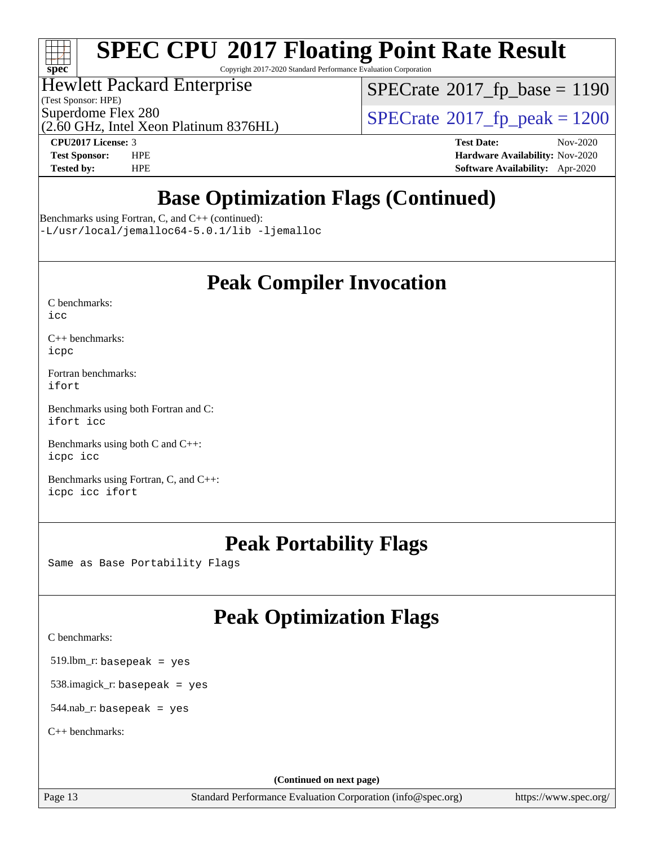

Copyright 2017-2020 Standard Performance Evaluation Corporation

# Hewlett Packard Enterprise

(Test Sponsor: HPE)

 $SPECTate@2017_fp\_base = 1190$ 

(2.60 GHz, Intel Xeon Platinum 8376HL)

Superdome Flex 280<br>  $\overline{SPECrate}$  $\overline{SPECrate}$  $\overline{SPECrate}$ <sup>®</sup>[2017\\_fp\\_peak = 1](http://www.spec.org/auto/cpu2017/Docs/result-fields.html#SPECrate2017fppeak)200

**[CPU2017 License:](http://www.spec.org/auto/cpu2017/Docs/result-fields.html#CPU2017License)** 3 **[Test Date:](http://www.spec.org/auto/cpu2017/Docs/result-fields.html#TestDate)** Nov-2020 **[Test Sponsor:](http://www.spec.org/auto/cpu2017/Docs/result-fields.html#TestSponsor)** HPE **[Hardware Availability:](http://www.spec.org/auto/cpu2017/Docs/result-fields.html#HardwareAvailability)** Nov-2020 **[Tested by:](http://www.spec.org/auto/cpu2017/Docs/result-fields.html#Testedby)** HPE **[Software Availability:](http://www.spec.org/auto/cpu2017/Docs/result-fields.html#SoftwareAvailability)** Apr-2020

# **[Base Optimization Flags \(Continued\)](http://www.spec.org/auto/cpu2017/Docs/result-fields.html#BaseOptimizationFlags)**

[Benchmarks using Fortran, C, and C++](http://www.spec.org/auto/cpu2017/Docs/result-fields.html#BenchmarksusingFortranCandCXX) (continued):

[-L/usr/local/jemalloc64-5.0.1/lib](http://www.spec.org/cpu2017/results/res2020q4/cpu2017-20201123-24418.flags.html#user_CC_CXX_FCbase_jemalloc_link_path64_1_cc289568b1a6c0fd3b62c91b824c27fcb5af5e8098e6ad028160d21144ef1b8aef3170d2acf0bee98a8da324cfe4f67d0a3d0c4cc4673d993d694dc2a0df248b) [-ljemalloc](http://www.spec.org/cpu2017/results/res2020q4/cpu2017-20201123-24418.flags.html#user_CC_CXX_FCbase_jemalloc_link_lib_d1249b907c500fa1c0672f44f562e3d0f79738ae9e3c4a9c376d49f265a04b9c99b167ecedbf6711b3085be911c67ff61f150a17b3472be731631ba4d0471706)

# **[Peak Compiler Invocation](http://www.spec.org/auto/cpu2017/Docs/result-fields.html#PeakCompilerInvocation)**

| C benchmarks: |  |
|---------------|--|
| icc           |  |

[C++ benchmarks:](http://www.spec.org/auto/cpu2017/Docs/result-fields.html#CXXbenchmarks) [icpc](http://www.spec.org/cpu2017/results/res2020q4/cpu2017-20201123-24418.flags.html#user_CXXpeak_intel_icpc_c510b6838c7f56d33e37e94d029a35b4a7bccf4766a728ee175e80a419847e808290a9b78be685c44ab727ea267ec2f070ec5dc83b407c0218cded6866a35d07)

[Fortran benchmarks](http://www.spec.org/auto/cpu2017/Docs/result-fields.html#Fortranbenchmarks): [ifort](http://www.spec.org/cpu2017/results/res2020q4/cpu2017-20201123-24418.flags.html#user_FCpeak_intel_ifort_8111460550e3ca792625aed983ce982f94888b8b503583aa7ba2b8303487b4d8a21a13e7191a45c5fd58ff318f48f9492884d4413fa793fd88dd292cad7027ca)

[Benchmarks using both Fortran and C](http://www.spec.org/auto/cpu2017/Docs/result-fields.html#BenchmarksusingbothFortranandC): [ifort](http://www.spec.org/cpu2017/results/res2020q4/cpu2017-20201123-24418.flags.html#user_CC_FCpeak_intel_ifort_8111460550e3ca792625aed983ce982f94888b8b503583aa7ba2b8303487b4d8a21a13e7191a45c5fd58ff318f48f9492884d4413fa793fd88dd292cad7027ca) [icc](http://www.spec.org/cpu2017/results/res2020q4/cpu2017-20201123-24418.flags.html#user_CC_FCpeak_intel_icc_66fc1ee009f7361af1fbd72ca7dcefbb700085f36577c54f309893dd4ec40d12360134090235512931783d35fd58c0460139e722d5067c5574d8eaf2b3e37e92)

[Benchmarks using both C and C++](http://www.spec.org/auto/cpu2017/Docs/result-fields.html#BenchmarksusingbothCandCXX): [icpc](http://www.spec.org/cpu2017/results/res2020q4/cpu2017-20201123-24418.flags.html#user_CC_CXXpeak_intel_icpc_c510b6838c7f56d33e37e94d029a35b4a7bccf4766a728ee175e80a419847e808290a9b78be685c44ab727ea267ec2f070ec5dc83b407c0218cded6866a35d07) [icc](http://www.spec.org/cpu2017/results/res2020q4/cpu2017-20201123-24418.flags.html#user_CC_CXXpeak_intel_icc_66fc1ee009f7361af1fbd72ca7dcefbb700085f36577c54f309893dd4ec40d12360134090235512931783d35fd58c0460139e722d5067c5574d8eaf2b3e37e92)

[Benchmarks using Fortran, C, and C++:](http://www.spec.org/auto/cpu2017/Docs/result-fields.html#BenchmarksusingFortranCandCXX) [icpc](http://www.spec.org/cpu2017/results/res2020q4/cpu2017-20201123-24418.flags.html#user_CC_CXX_FCpeak_intel_icpc_c510b6838c7f56d33e37e94d029a35b4a7bccf4766a728ee175e80a419847e808290a9b78be685c44ab727ea267ec2f070ec5dc83b407c0218cded6866a35d07) [icc](http://www.spec.org/cpu2017/results/res2020q4/cpu2017-20201123-24418.flags.html#user_CC_CXX_FCpeak_intel_icc_66fc1ee009f7361af1fbd72ca7dcefbb700085f36577c54f309893dd4ec40d12360134090235512931783d35fd58c0460139e722d5067c5574d8eaf2b3e37e92) [ifort](http://www.spec.org/cpu2017/results/res2020q4/cpu2017-20201123-24418.flags.html#user_CC_CXX_FCpeak_intel_ifort_8111460550e3ca792625aed983ce982f94888b8b503583aa7ba2b8303487b4d8a21a13e7191a45c5fd58ff318f48f9492884d4413fa793fd88dd292cad7027ca)

# **[Peak Portability Flags](http://www.spec.org/auto/cpu2017/Docs/result-fields.html#PeakPortabilityFlags)**

Same as Base Portability Flags

# **[Peak Optimization Flags](http://www.spec.org/auto/cpu2017/Docs/result-fields.html#PeakOptimizationFlags)**

[C benchmarks](http://www.spec.org/auto/cpu2017/Docs/result-fields.html#Cbenchmarks):

519.lbm\_r: basepeak = yes

538.imagick\_r: basepeak = yes

 $544$ .nab\_r: basepeak = yes

[C++ benchmarks:](http://www.spec.org/auto/cpu2017/Docs/result-fields.html#CXXbenchmarks)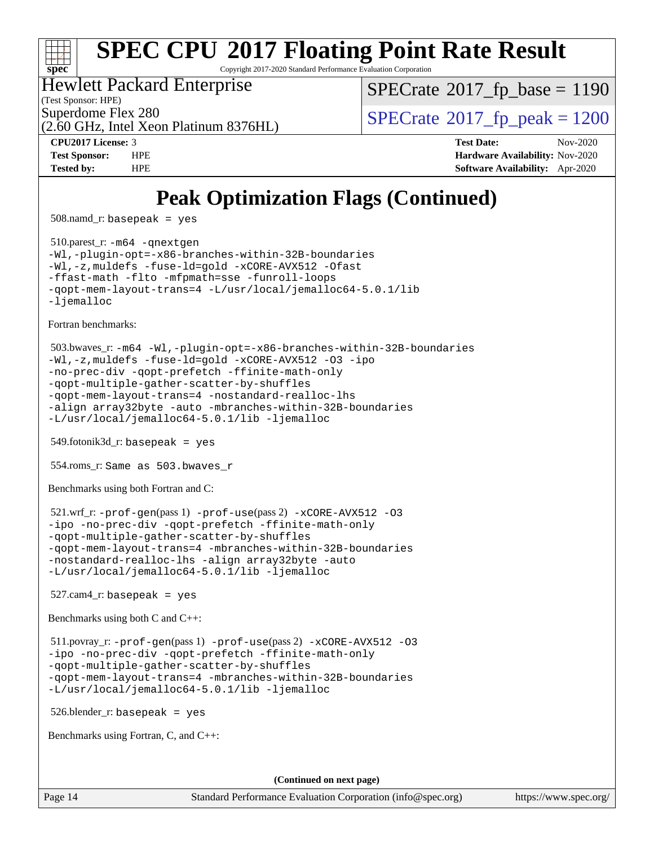

Copyright 2017-2020 Standard Performance Evaluation Corporation

# Hewlett Packard Enterprise

(Test Sponsor: HPE)

[SPECrate](http://www.spec.org/auto/cpu2017/Docs/result-fields.html#SPECrate2017fpbase)<sup>®</sup>2017 fp base = 1190

(2.60 GHz, Intel Xeon Platinum 8376HL)

Superdome Flex 280<br>  $S$ PECrate<sup>®</sup>2017 fp\_peak = 1200

**[CPU2017 License:](http://www.spec.org/auto/cpu2017/Docs/result-fields.html#CPU2017License)** 3 **[Test Date:](http://www.spec.org/auto/cpu2017/Docs/result-fields.html#TestDate)** Nov-2020 **[Test Sponsor:](http://www.spec.org/auto/cpu2017/Docs/result-fields.html#TestSponsor)** HPE **[Hardware Availability:](http://www.spec.org/auto/cpu2017/Docs/result-fields.html#HardwareAvailability)** Nov-2020 **[Tested by:](http://www.spec.org/auto/cpu2017/Docs/result-fields.html#Testedby)** HPE **[Software Availability:](http://www.spec.org/auto/cpu2017/Docs/result-fields.html#SoftwareAvailability)** Apr-2020

# **[Peak Optimization Flags \(Continued\)](http://www.spec.org/auto/cpu2017/Docs/result-fields.html#PeakOptimizationFlags)**

508.namd\_r: basepeak = yes

 510.parest\_r: [-m64](http://www.spec.org/cpu2017/results/res2020q4/cpu2017-20201123-24418.flags.html#user_peakCXXLD510_parest_r_m64-icc) [-qnextgen](http://www.spec.org/cpu2017/results/res2020q4/cpu2017-20201123-24418.flags.html#user_peakCXXLD510_parest_r_f-qnextgen) [-Wl,-plugin-opt=-x86-branches-within-32B-boundaries](http://www.spec.org/cpu2017/results/res2020q4/cpu2017-20201123-24418.flags.html#user_peakLDFLAGS510_parest_r_f-x86-branches-within-32B-boundaries_0098b4e4317ae60947b7b728078a624952a08ac37a3c797dfb4ffeb399e0c61a9dd0f2f44ce917e9361fb9076ccb15e7824594512dd315205382d84209e912f3) [-Wl,-z,muldefs](http://www.spec.org/cpu2017/results/res2020q4/cpu2017-20201123-24418.flags.html#user_peakEXTRA_LDFLAGS510_parest_r_link_force_multiple1_b4cbdb97b34bdee9ceefcfe54f4c8ea74255f0b02a4b23e853cdb0e18eb4525ac79b5a88067c842dd0ee6996c24547a27a4b99331201badda8798ef8a743f577) [-fuse-ld=gold](http://www.spec.org/cpu2017/results/res2020q4/cpu2017-20201123-24418.flags.html#user_peakEXTRA_LDFLAGS510_parest_r_f-fuse-ld_920b3586e2b8c6e0748b9c84fa9b744736ba725a32cab14ad8f3d4ad28eecb2f59d1144823d2e17006539a88734fe1fc08fc3035f7676166309105a78aaabc32) [-xCORE-AVX512](http://www.spec.org/cpu2017/results/res2020q4/cpu2017-20201123-24418.flags.html#user_peakCXXOPTIMIZE510_parest_r_f-xCORE-AVX512) [-Ofast](http://www.spec.org/cpu2017/results/res2020q4/cpu2017-20201123-24418.flags.html#user_peakCXXOPTIMIZE510_parest_r_f-Ofast) [-ffast-math](http://www.spec.org/cpu2017/results/res2020q4/cpu2017-20201123-24418.flags.html#user_peakCXXOPTIMIZE510_parest_r_f-ffast-math) [-flto](http://www.spec.org/cpu2017/results/res2020q4/cpu2017-20201123-24418.flags.html#user_peakCXXOPTIMIZE510_parest_r_f-flto) [-mfpmath=sse](http://www.spec.org/cpu2017/results/res2020q4/cpu2017-20201123-24418.flags.html#user_peakCXXOPTIMIZE510_parest_r_f-mfpmath_70eb8fac26bde974f8ab713bc9086c5621c0b8d2f6c86f38af0bd7062540daf19db5f3a066d8c6684be05d84c9b6322eb3b5be6619d967835195b93d6c02afa1) [-funroll-loops](http://www.spec.org/cpu2017/results/res2020q4/cpu2017-20201123-24418.flags.html#user_peakCXXOPTIMIZE510_parest_r_f-funroll-loops) [-qopt-mem-layout-trans=4](http://www.spec.org/cpu2017/results/res2020q4/cpu2017-20201123-24418.flags.html#user_peakCXXOPTIMIZE510_parest_r_f-qopt-mem-layout-trans_fa39e755916c150a61361b7846f310bcdf6f04e385ef281cadf3647acec3f0ae266d1a1d22d972a7087a248fd4e6ca390a3634700869573d231a252c784941a8) [-L/usr/local/jemalloc64-5.0.1/lib](http://www.spec.org/cpu2017/results/res2020q4/cpu2017-20201123-24418.flags.html#user_peakEXTRA_LIBS510_parest_r_jemalloc_link_path64_1_cc289568b1a6c0fd3b62c91b824c27fcb5af5e8098e6ad028160d21144ef1b8aef3170d2acf0bee98a8da324cfe4f67d0a3d0c4cc4673d993d694dc2a0df248b) [-ljemalloc](http://www.spec.org/cpu2017/results/res2020q4/cpu2017-20201123-24418.flags.html#user_peakEXTRA_LIBS510_parest_r_jemalloc_link_lib_d1249b907c500fa1c0672f44f562e3d0f79738ae9e3c4a9c376d49f265a04b9c99b167ecedbf6711b3085be911c67ff61f150a17b3472be731631ba4d0471706)

[Fortran benchmarks](http://www.spec.org/auto/cpu2017/Docs/result-fields.html#Fortranbenchmarks):

```
 503.bwaves_r: -m64 -Wl,-plugin-opt=-x86-branches-within-32B-boundaries
-Wl,-z,muldefs -fuse-ld=gold -xCORE-AVX512 -O3 -ipo
-no-prec-div -qopt-prefetch -ffinite-math-only
-qopt-multiple-gather-scatter-by-shuffles
-qopt-mem-layout-trans=4 -nostandard-realloc-lhs
-align array32byte -auto -mbranches-within-32B-boundaries
-L/usr/local/jemalloc64-5.0.1/lib -ljemalloc
```
549.fotonik3d\_r: basepeak = yes

554.roms\_r: Same as 503.bwaves\_r

[Benchmarks using both Fortran and C](http://www.spec.org/auto/cpu2017/Docs/result-fields.html#BenchmarksusingbothFortranandC):

```
 521.wrf_r: -prof-gen(pass 1) -prof-use(pass 2) -xCORE-AVX512 -O3
-ipo -no-prec-div -qopt-prefetch -ffinite-math-only
-qopt-multiple-gather-scatter-by-shuffles
-qopt-mem-layout-trans=4 -mbranches-within-32B-boundaries
-nostandard-realloc-lhs -align array32byte -auto
-L/usr/local/jemalloc64-5.0.1/lib -ljemalloc
```
 $527$ .cam $4$ \_r: basepeak = yes

[Benchmarks using both C and C++](http://www.spec.org/auto/cpu2017/Docs/result-fields.html#BenchmarksusingbothCandCXX):

 511.povray\_r: [-prof-gen](http://www.spec.org/cpu2017/results/res2020q4/cpu2017-20201123-24418.flags.html#user_peakPASS1_CFLAGSPASS1_CXXFLAGSPASS1_LDFLAGS511_povray_r_prof_gen_5aa4926d6013ddb2a31985c654b3eb18169fc0c6952a63635c234f711e6e63dd76e94ad52365559451ec499a2cdb89e4dc58ba4c67ef54ca681ffbe1461d6b36)(pass 1) [-prof-use](http://www.spec.org/cpu2017/results/res2020q4/cpu2017-20201123-24418.flags.html#user_peakPASS2_CFLAGSPASS2_CXXFLAGSPASS2_LDFLAGS511_povray_r_prof_use_1a21ceae95f36a2b53c25747139a6c16ca95bd9def2a207b4f0849963b97e94f5260e30a0c64f4bb623698870e679ca08317ef8150905d41bd88c6f78df73f19)(pass 2) [-xCORE-AVX512](http://www.spec.org/cpu2017/results/res2020q4/cpu2017-20201123-24418.flags.html#user_peakCOPTIMIZECXXOPTIMIZEPASS2_COPTIMIZEPASS2_CXXOPTIMIZE511_povray_r_f-xCORE-AVX512) [-O3](http://www.spec.org/cpu2017/results/res2020q4/cpu2017-20201123-24418.flags.html#user_peakCOPTIMIZECXXOPTIMIZEPASS1_COPTIMIZEPASS1_CXXOPTIMIZEPASS2_COPTIMIZEPASS2_CXXOPTIMIZE511_povray_r_f-O3) [-ipo](http://www.spec.org/cpu2017/results/res2020q4/cpu2017-20201123-24418.flags.html#user_peakCOPTIMIZECXXOPTIMIZEPASS1_COPTIMIZEPASS1_CXXOPTIMIZEPASS2_COPTIMIZEPASS2_CXXOPTIMIZE511_povray_r_f-ipo) [-no-prec-div](http://www.spec.org/cpu2017/results/res2020q4/cpu2017-20201123-24418.flags.html#user_peakCOPTIMIZECXXOPTIMIZEPASS1_COPTIMIZEPASS1_CXXOPTIMIZEPASS2_COPTIMIZEPASS2_CXXOPTIMIZE511_povray_r_f-no-prec-div) [-qopt-prefetch](http://www.spec.org/cpu2017/results/res2020q4/cpu2017-20201123-24418.flags.html#user_peakCOPTIMIZECXXOPTIMIZEPASS1_COPTIMIZEPASS1_CXXOPTIMIZEPASS2_COPTIMIZEPASS2_CXXOPTIMIZE511_povray_r_f-qopt-prefetch) [-ffinite-math-only](http://www.spec.org/cpu2017/results/res2020q4/cpu2017-20201123-24418.flags.html#user_peakCOPTIMIZECXXOPTIMIZEPASS1_COPTIMIZEPASS1_CXXOPTIMIZEPASS2_COPTIMIZEPASS2_CXXOPTIMIZE511_povray_r_f_finite_math_only_cb91587bd2077682c4b38af759c288ed7c732db004271a9512da14a4f8007909a5f1427ecbf1a0fb78ff2a814402c6114ac565ca162485bbcae155b5e4258871) [-qopt-multiple-gather-scatter-by-shuffles](http://www.spec.org/cpu2017/results/res2020q4/cpu2017-20201123-24418.flags.html#user_peakCOPTIMIZECXXOPTIMIZEPASS1_COPTIMIZEPASS1_CXXOPTIMIZEPASS2_COPTIMIZEPASS2_CXXOPTIMIZE511_povray_r_f-qopt-multiple-gather-scatter-by-shuffles) [-qopt-mem-layout-trans=4](http://www.spec.org/cpu2017/results/res2020q4/cpu2017-20201123-24418.flags.html#user_peakCOPTIMIZECXXOPTIMIZEPASS1_COPTIMIZEPASS1_CXXOPTIMIZEPASS2_COPTIMIZEPASS2_CXXOPTIMIZE511_povray_r_f-qopt-mem-layout-trans_fa39e755916c150a61361b7846f310bcdf6f04e385ef281cadf3647acec3f0ae266d1a1d22d972a7087a248fd4e6ca390a3634700869573d231a252c784941a8) [-mbranches-within-32B-boundaries](http://www.spec.org/cpu2017/results/res2020q4/cpu2017-20201123-24418.flags.html#user_peakEXTRA_COPTIMIZEEXTRA_CXXOPTIMIZE511_povray_r_f-mbranches-within-32B-boundaries) [-L/usr/local/jemalloc64-5.0.1/lib](http://www.spec.org/cpu2017/results/res2020q4/cpu2017-20201123-24418.flags.html#user_peakEXTRA_LIBS511_povray_r_jemalloc_link_path64_1_cc289568b1a6c0fd3b62c91b824c27fcb5af5e8098e6ad028160d21144ef1b8aef3170d2acf0bee98a8da324cfe4f67d0a3d0c4cc4673d993d694dc2a0df248b) [-ljemalloc](http://www.spec.org/cpu2017/results/res2020q4/cpu2017-20201123-24418.flags.html#user_peakEXTRA_LIBS511_povray_r_jemalloc_link_lib_d1249b907c500fa1c0672f44f562e3d0f79738ae9e3c4a9c376d49f265a04b9c99b167ecedbf6711b3085be911c67ff61f150a17b3472be731631ba4d0471706)

526.blender\_r: basepeak = yes

[Benchmarks using Fortran, C, and C++:](http://www.spec.org/auto/cpu2017/Docs/result-fields.html#BenchmarksusingFortranCandCXX)